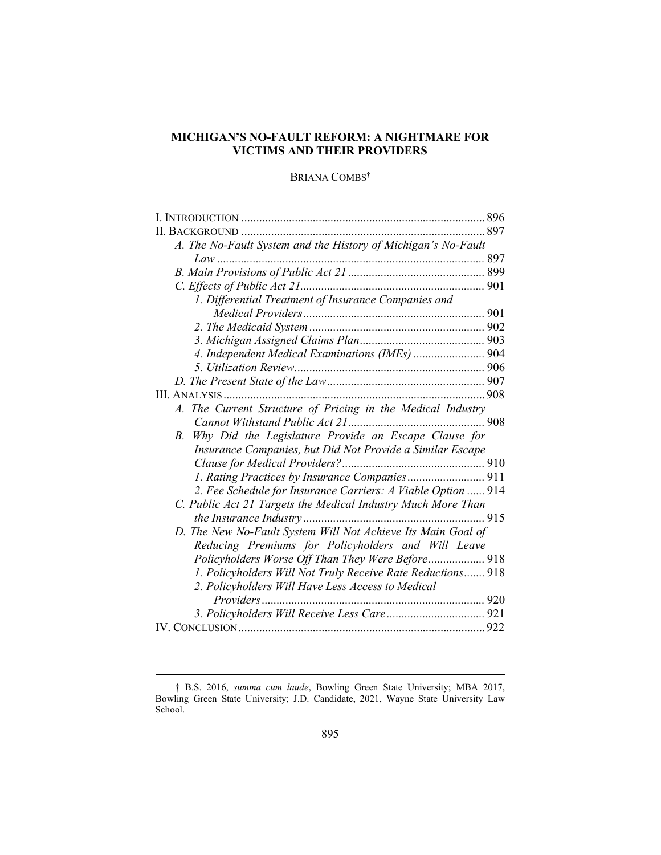# MICHIGAN'S NO-FAULT REFORM: A NIGHTMARE FOR VICTIMS AND THEIR PROVIDERS

# BRIANA COMBS<sup>†</sup>

| A. The No-Fault System and the History of Michigan's No-Fault |  |
|---------------------------------------------------------------|--|
|                                                               |  |
|                                                               |  |
|                                                               |  |
| 1. Differential Treatment of Insurance Companies and          |  |
|                                                               |  |
|                                                               |  |
|                                                               |  |
| 4. Independent Medical Examinations (IMEs)  904               |  |
|                                                               |  |
|                                                               |  |
|                                                               |  |
| A. The Current Structure of Pricing in the Medical Industry   |  |
|                                                               |  |
| Why Did the Legislature Provide an Escape Clause for<br>В.    |  |
| Insurance Companies, but Did Not Provide a Similar Escape     |  |
|                                                               |  |
| 1. Rating Practices by Insurance Companies 911                |  |
| 2. Fee Schedule for Insurance Carriers: A Viable Option  914  |  |
| C. Public Act 21 Targets the Medical Industry Much More Than  |  |
|                                                               |  |
| D. The New No-Fault System Will Not Achieve Its Main Goal of  |  |
| Reducing Premiums for Policyholders and Will Leave            |  |
| Policyholders Worse Off Than They Were Before 918             |  |
| 1. Policyholders Will Not Truly Receive Rate Reductions 918   |  |
| 2. Policyholders Will Have Less Access to Medical             |  |
|                                                               |  |
|                                                               |  |
|                                                               |  |

<sup>†</sup> B.S. 2016, summa cum laude, Bowling Green State University; MBA 2017, Bowling Green State University; J.D. Candidate, 2021, Wayne State University Law School.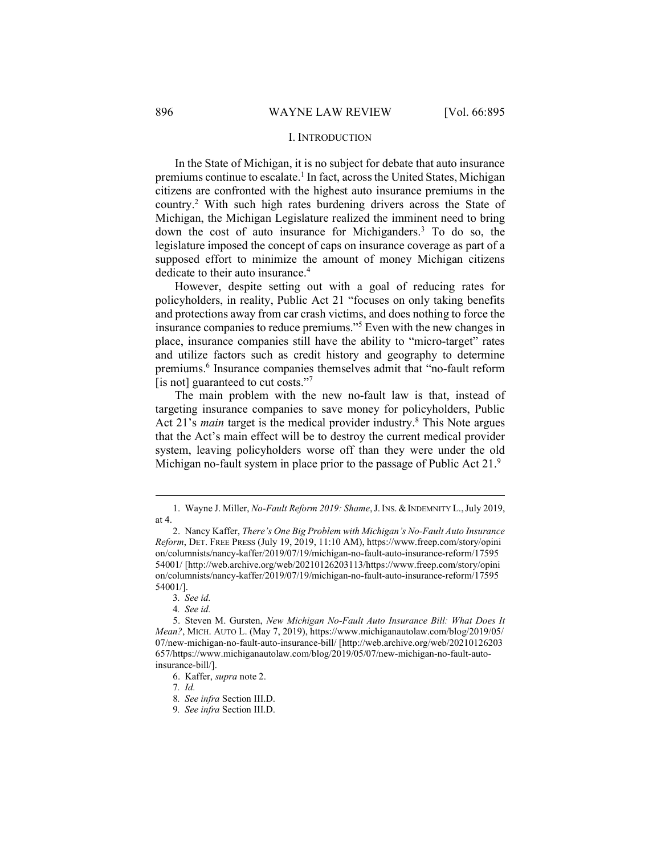### I. INTRODUCTION

In the State of Michigan, it is no subject for debate that auto insurance premiums continue to escalate.<sup>1</sup> In fact, across the United States, Michigan citizens are confronted with the highest auto insurance premiums in the country.<sup>2</sup> With such high rates burdening drivers across the State of Michigan, the Michigan Legislature realized the imminent need to bring down the cost of auto insurance for Michiganders.<sup>3</sup> To do so, the legislature imposed the concept of caps on insurance coverage as part of a supposed effort to minimize the amount of money Michigan citizens dedicate to their auto insurance.<sup>4</sup>

However, despite setting out with a goal of reducing rates for policyholders, in reality, Public Act 21 "focuses on only taking benefits and protections away from car crash victims, and does nothing to force the insurance companies to reduce premiums."<sup>5</sup> Even with the new changes in place, insurance companies still have the ability to "micro-target" rates and utilize factors such as credit history and geography to determine premiums.<sup>6</sup> Insurance companies themselves admit that "no-fault reform [is not] guaranteed to cut costs."7

The main problem with the new no-fault law is that, instead of targeting insurance companies to save money for policyholders, Public Act 21's *main* target is the medical provider industry.<sup>8</sup> This Note argues that the Act's main effect will be to destroy the current medical provider system, leaving policyholders worse off than they were under the old Michigan no-fault system in place prior to the passage of Public Act 21.<sup>9</sup>

<sup>1.</sup> Wayne J. Miller, No-Fault Reform 2019: Shame, J. INS. & INDEMNITY L., July 2019, at 4.

 <sup>2.</sup> Nancy Kaffer, There's One Big Problem with Michigan's No-Fault Auto Insurance Reform, DET. FREE PRESS (July 19, 2019, 11:10 AM), https://www.freep.com/story/opini on/columnists/nancy-kaffer/2019/07/19/michigan-no-fault-auto-insurance-reform/17595 54001/ [http://web.archive.org/web/20210126203113/https://www.freep.com/story/opini on/columnists/nancy-kaffer/2019/07/19/michigan-no-fault-auto-insurance-reform/17595 54001/].

<sup>3</sup>. See id.

<sup>4</sup>. See id.

 <sup>5.</sup> Steven M. Gursten, New Michigan No-Fault Auto Insurance Bill: What Does It Mean?, MICH. AUTO L. (May 7, 2019), https://www.michiganautolaw.com/blog/2019/05/ 07/new-michigan-no-fault-auto-insurance-bill/ [http://web.archive.org/web/20210126203 657/https://www.michiganautolaw.com/blog/2019/05/07/new-michigan-no-fault-autoinsurance-bill/].

 <sup>6.</sup> Kaffer, supra note 2.

<sup>7</sup>. Id.

<sup>8</sup>. See infra Section III.D.

<sup>9</sup>. See infra Section III.D.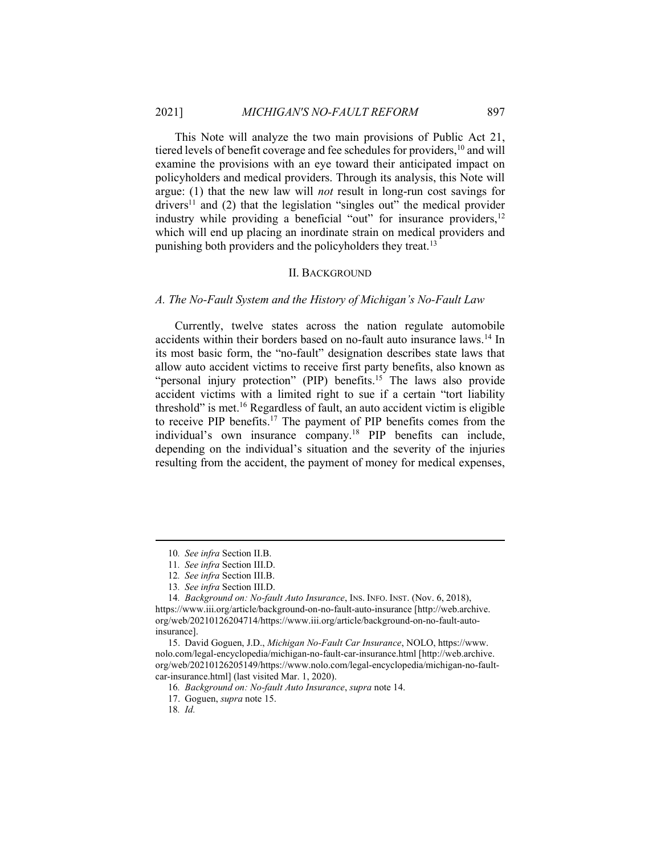This Note will analyze the two main provisions of Public Act 21, tiered levels of benefit coverage and fee schedules for providers,<sup>10</sup> and will examine the provisions with an eye toward their anticipated impact on policyholders and medical providers. Through its analysis, this Note will argue:  $(1)$  that the new law will *not* result in long-run cost savings for drivers<sup>11</sup> and (2) that the legislation "singles out" the medical provider industry while providing a beneficial "out" for insurance providers, $12$ which will end up placing an inordinate strain on medical providers and punishing both providers and the policyholders they treat.<sup>13</sup>

#### II. BACKGROUND

# A. The No-Fault System and the History of Michigan's No-Fault Law

Currently, twelve states across the nation regulate automobile accidents within their borders based on no-fault auto insurance laws.<sup>14</sup> In its most basic form, the "no-fault" designation describes state laws that allow auto accident victims to receive first party benefits, also known as "personal injury protection" (PIP) benefits.<sup>15</sup> The laws also provide accident victims with a limited right to sue if a certain "tort liability threshold" is met.<sup>16</sup> Regardless of fault, an auto accident victim is eligible to receive PIP benefits.<sup>17</sup> The payment of PIP benefits comes from the individual's own insurance company.<sup>18</sup> PIP benefits can include, depending on the individual's situation and the severity of the injuries resulting from the accident, the payment of money for medical expenses,

<sup>10</sup>. See infra Section II.B.

<sup>11</sup>. See infra Section III.D.

<sup>12</sup>. See infra Section III.B.

<sup>13</sup>. See infra Section III.D.

<sup>14.</sup> Background on: No-fault Auto Insurance, INS. INFO. INST. (Nov. 6, 2018), https://www.iii.org/article/background-on-no-fault-auto-insurance [http://web.archive. org/web/20210126204714/https://www.iii.org/article/background-on-no-fault-autoinsurance].

 <sup>15.</sup> David Goguen, J.D., Michigan No-Fault Car Insurance, NOLO, https://www. nolo.com/legal-encyclopedia/michigan-no-fault-car-insurance.html [http://web.archive. org/web/20210126205149/https://www.nolo.com/legal-encyclopedia/michigan-no-faultcar-insurance.html] (last visited Mar. 1, 2020).

<sup>16</sup>. Background on: No-fault Auto Insurance, supra note 14.

 <sup>17.</sup> Goguen, supra note 15.

<sup>18</sup>. Id.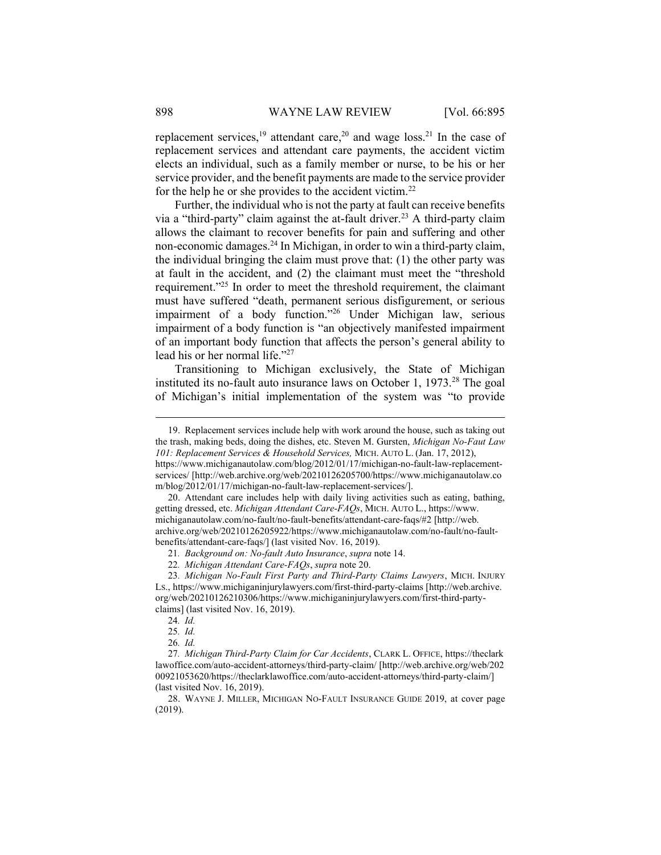replacement services,<sup>19</sup> attendant care,<sup>20</sup> and wage loss.<sup>21</sup> In the case of replacement services and attendant care payments, the accident victim elects an individual, such as a family member or nurse, to be his or her service provider, and the benefit payments are made to the service provider for the help he or she provides to the accident victim.<sup>22</sup>

Further, the individual who is not the party at fault can receive benefits via a "third-party" claim against the at-fault driver.<sup>23</sup> A third-party claim allows the claimant to recover benefits for pain and suffering and other non-economic damages.<sup>24</sup> In Michigan, in order to win a third-party claim, the individual bringing the claim must prove that: (1) the other party was at fault in the accident, and (2) the claimant must meet the "threshold requirement."<sup>25</sup> In order to meet the threshold requirement, the claimant must have suffered "death, permanent serious disfigurement, or serious impairment of a body function."<sup>26</sup> Under Michigan law, serious impairment of a body function is "an objectively manifested impairment of an important body function that affects the person's general ability to lead his or her normal life."<sup>27</sup>

Transitioning to Michigan exclusively, the State of Michigan instituted its no-fault auto insurance laws on October 1,  $1973.<sup>28</sup>$  The goal of Michigan's initial implementation of the system was "to provide

 <sup>19.</sup> Replacement services include help with work around the house, such as taking out the trash, making beds, doing the dishes, etc. Steven M. Gursten, Michigan No-Faut Law 101: Replacement Services & Household Services, MICH. AUTO L. (Jan. 17, 2012), https://www.michiganautolaw.com/blog/2012/01/17/michigan-no-fault-law-replacementservices/ [http://web.archive.org/web/20210126205700/https://www.michiganautolaw.co m/blog/2012/01/17/michigan-no-fault-law-replacement-services/].

 <sup>20.</sup> Attendant care includes help with daily living activities such as eating, bathing, getting dressed, etc. Michigan Attendant Care-FAQs, MICH. AUTO L., https://www. michiganautolaw.com/no-fault/no-fault-benefits/attendant-care-faqs/#2 [http://web. archive.org/web/20210126205922/https://www.michiganautolaw.com/no-fault/no-faultbenefits/attendant-care-faqs/] (last visited Nov. 16, 2019).

<sup>21</sup>. Background on: No-fault Auto Insurance, supra note 14.

<sup>22</sup>. Michigan Attendant Care-FAQs, supra note 20.

<sup>23</sup>. Michigan No-Fault First Party and Third-Party Claims Lawyers, MICH. INJURY LS., https://www.michiganinjurylawyers.com/first-third-party-claims [http://web.archive. org/web/20210126210306/https://www.michiganinjurylawyers.com/first-third-partyclaims] (last visited Nov. 16, 2019).

<sup>24</sup>. Id.

<sup>25</sup>. Id.

<sup>26</sup>. Id.

<sup>27</sup>. Michigan Third-Party Claim for Car Accidents, CLARK L. OFFICE, https://theclark lawoffice.com/auto-accident-attorneys/third-party-claim/ [http://web.archive.org/web/202 00921053620/https://theclarklawoffice.com/auto-accident-attorneys/third-party-claim/] (last visited Nov. 16, 2019).

 <sup>28.</sup> WAYNE J. MILLER, MICHIGAN NO-FAULT INSURANCE GUIDE 2019, at cover page (2019).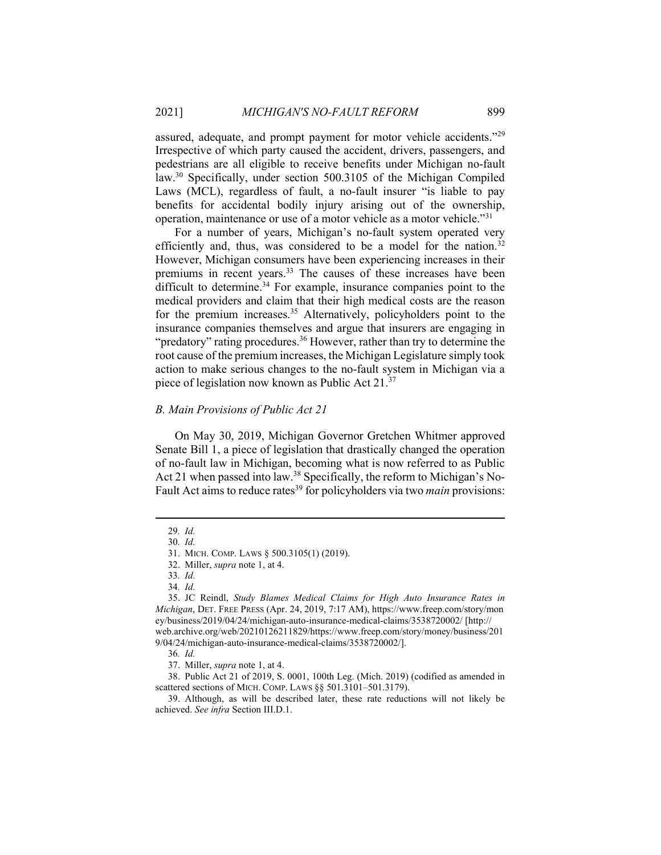assured, adequate, and prompt payment for motor vehicle accidents."<sup>29</sup> Irrespective of which party caused the accident, drivers, passengers, and pedestrians are all eligible to receive benefits under Michigan no-fault law.<sup>30</sup> Specifically, under section 500.3105 of the Michigan Compiled Laws (MCL), regardless of fault, a no-fault insurer "is liable to pay benefits for accidental bodily injury arising out of the ownership, operation, maintenance or use of a motor vehicle as a motor vehicle."<sup>31</sup>

For a number of years, Michigan's no-fault system operated very efficiently and, thus, was considered to be a model for the nation.<sup>32</sup> However, Michigan consumers have been experiencing increases in their premiums in recent years.<sup>33</sup> The causes of these increases have been difficult to determine.<sup>34</sup> For example, insurance companies point to the medical providers and claim that their high medical costs are the reason for the premium increases.<sup>35</sup> Alternatively, policyholders point to the insurance companies themselves and argue that insurers are engaging in "predatory" rating procedures.<sup>36</sup> However, rather than try to determine the root cause of the premium increases, the Michigan Legislature simply took action to make serious changes to the no-fault system in Michigan via a piece of legislation now known as Public Act 21.<sup>37</sup>

#### B. Main Provisions of Public Act 21

On May 30, 2019, Michigan Governor Gretchen Whitmer approved Senate Bill 1, a piece of legislation that drastically changed the operation of no-fault law in Michigan, becoming what is now referred to as Public Act 21 when passed into law.<sup>38</sup> Specifically, the reform to Michigan's No-Fault Act aims to reduce rates<sup>39</sup> for policyholders via two *main* provisions:

<sup>29</sup>. Id.

<sup>30</sup>. Id.

 <sup>31.</sup> MICH. COMP. LAWS § 500.3105(1) (2019).

 <sup>32.</sup> Miller, supra note 1, at 4.

<sup>33</sup>. Id.

<sup>34</sup>. Id.

 <sup>35.</sup> JC Reindl, Study Blames Medical Claims for High Auto Insurance Rates in Michigan, DET. FREE PRESS (Apr. 24, 2019, 7:17 AM), https://www.freep.com/story/mon ey/business/2019/04/24/michigan-auto-insurance-medical-claims/3538720002/ [http:// web.archive.org/web/20210126211829/https://www.freep.com/story/money/business/201 9/04/24/michigan-auto-insurance-medical-claims/3538720002/].

<sup>36</sup>. Id.

 <sup>37.</sup> Miller, supra note 1, at 4.

 <sup>38.</sup> Public Act 21 of 2019, S. 0001, 100th Leg. (Mich. 2019) (codified as amended in scattered sections of MICH. COMP. LAWS §§ 501.3101-501.3179).

 <sup>39.</sup> Although, as will be described later, these rate reductions will not likely be achieved. See infra Section III.D.1.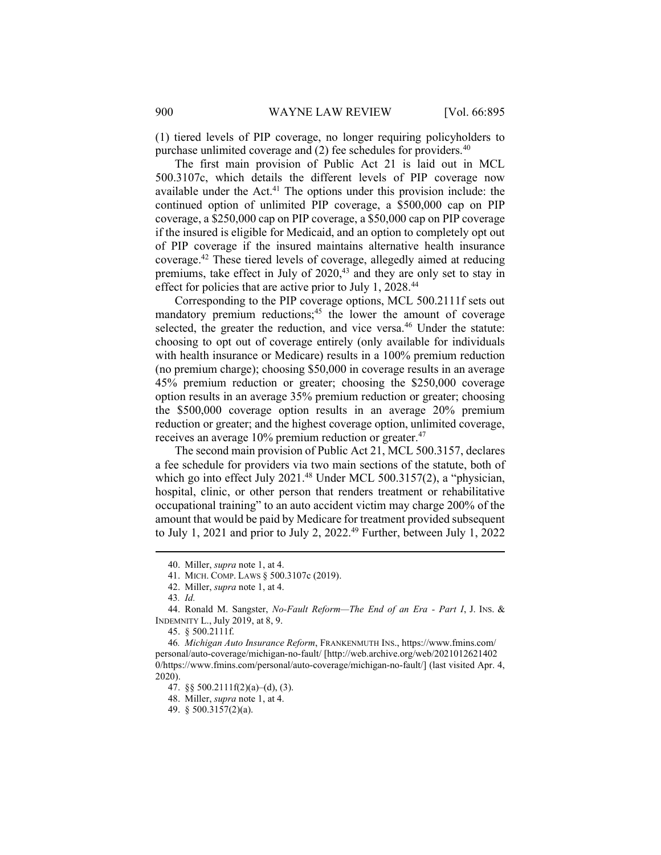(1) tiered levels of PIP coverage, no longer requiring policyholders to purchase unlimited coverage and  $(2)$  fee schedules for providers.<sup>40</sup>

The first main provision of Public Act 21 is laid out in MCL 500.3107c, which details the different levels of PIP coverage now available under the Act. $41$  The options under this provision include: the continued option of unlimited PIP coverage, a \$500,000 cap on PIP coverage, a \$250,000 cap on PIP coverage, a \$50,000 cap on PIP coverage if the insured is eligible for Medicaid, and an option to completely opt out of PIP coverage if the insured maintains alternative health insurance coverage.<sup>42</sup> These tiered levels of coverage, allegedly aimed at reducing premiums, take effect in July of 2020,<sup>43</sup> and they are only set to stay in effect for policies that are active prior to July 1, 2028.<sup>44</sup>

Corresponding to the PIP coverage options, MCL 500.2111f sets out mandatory premium reductions;<sup>45</sup> the lower the amount of coverage selected, the greater the reduction, and vice versa.<sup>46</sup> Under the statute: choosing to opt out of coverage entirely (only available for individuals with health insurance or Medicare) results in a 100% premium reduction (no premium charge); choosing \$50,000 in coverage results in an average 45% premium reduction or greater; choosing the \$250,000 coverage option results in an average 35% premium reduction or greater; choosing the \$500,000 coverage option results in an average 20% premium reduction or greater; and the highest coverage option, unlimited coverage, receives an average 10% premium reduction or greater.<sup>47</sup>

The second main provision of Public Act 21, MCL 500.3157, declares a fee schedule for providers via two main sections of the statute, both of which go into effect July 2021.<sup>48</sup> Under MCL 500.3157(2), a "physician, hospital, clinic, or other person that renders treatment or rehabilitative occupational training" to an auto accident victim may charge 200% of the amount that would be paid by Medicare for treatment provided subsequent to July 1, 2021 and prior to July 2, 2022.<sup>49</sup> Further, between July 1, 2022

 <sup>40.</sup> Miller, supra note 1, at 4.

 <sup>41.</sup> MICH. COMP. LAWS § 500.3107c (2019).

 <sup>42.</sup> Miller, supra note 1, at 4.

<sup>43</sup>. Id.

 <sup>44.</sup> Ronald M. Sangster, No-Fault Reform—The End of an Era - Part I, J. INS. & INDEMNITY L., July 2019, at 8, 9.

 <sup>45. § 500.2111</sup>f.

<sup>46</sup>. Michigan Auto Insurance Reform, FRANKENMUTH INS., https://www.fmins.com/ personal/auto-coverage/michigan-no-fault/ [http://web.archive.org/web/2021012621402 0/https://www.fmins.com/personal/auto-coverage/michigan-no-fault/] (last visited Apr. 4, 2020).

 <sup>47. §§ 500.2111</sup>f(2)(a)–(d), (3).

 <sup>48.</sup> Miller, supra note 1, at 4.

 <sup>49. § 500.3157(2)(</sup>a).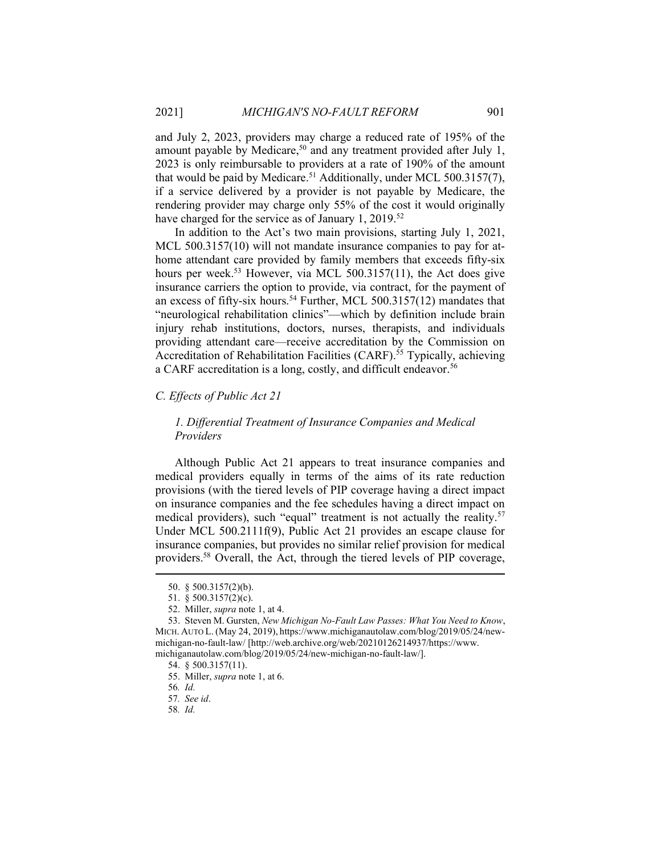and July 2, 2023, providers may charge a reduced rate of 195% of the amount payable by Medicare,<sup>50</sup> and any treatment provided after July 1, 2023 is only reimbursable to providers at a rate of 190% of the amount that would be paid by Medicare.<sup>51</sup> Additionally, under MCL 500.3157(7), if a service delivered by a provider is not payable by Medicare, the rendering provider may charge only 55% of the cost it would originally have charged for the service as of January 1, 2019.<sup>52</sup>

In addition to the Act's two main provisions, starting July 1, 2021, MCL 500.3157(10) will not mandate insurance companies to pay for athome attendant care provided by family members that exceeds fifty-six hours per week.<sup>53</sup> However, via MCL 500.3157(11), the Act does give insurance carriers the option to provide, via contract, for the payment of an excess of fifty-six hours.<sup>54</sup> Further, MCL 500.3157(12) mandates that "neurological rehabilitation clinics"—which by definition include brain injury rehab institutions, doctors, nurses, therapists, and individuals providing attendant care—receive accreditation by the Commission on Accreditation of Rehabilitation Facilities (CARF).<sup>55</sup> Typically, achieving a CARF accreditation is a long, costly, and difficult endeavor.<sup>56</sup>

### C. Effects of Public Act 21

# 1. Differential Treatment of Insurance Companies and Medical Providers

Although Public Act 21 appears to treat insurance companies and medical providers equally in terms of the aims of its rate reduction provisions (with the tiered levels of PIP coverage having a direct impact on insurance companies and the fee schedules having a direct impact on medical providers), such "equal" treatment is not actually the reality.<sup>57</sup> Under MCL 500.2111f(9), Public Act 21 provides an escape clause for insurance companies, but provides no similar relief provision for medical providers.<sup>58</sup> Overall, the Act, through the tiered levels of PIP coverage,

 <sup>50. § 500.3157(2)(</sup>b).

 <sup>51. § 500.3157(2)(</sup>c).

 <sup>52.</sup> Miller, supra note 1, at 4.

 <sup>53.</sup> Steven M. Gursten, New Michigan No-Fault Law Passes: What You Need to Know, MICH. AUTO L. (May 24, 2019), https://www.michiganautolaw.com/blog/2019/05/24/newmichigan-no-fault-law/ [http://web.archive.org/web/20210126214937/https://www. michiganautolaw.com/blog/2019/05/24/new-michigan-no-fault-law/].

 <sup>54. § 500.3157(11).</sup> 

 <sup>55.</sup> Miller, supra note 1, at 6.

<sup>56</sup>. Id.

<sup>57</sup>. See id.

<sup>58</sup>. Id.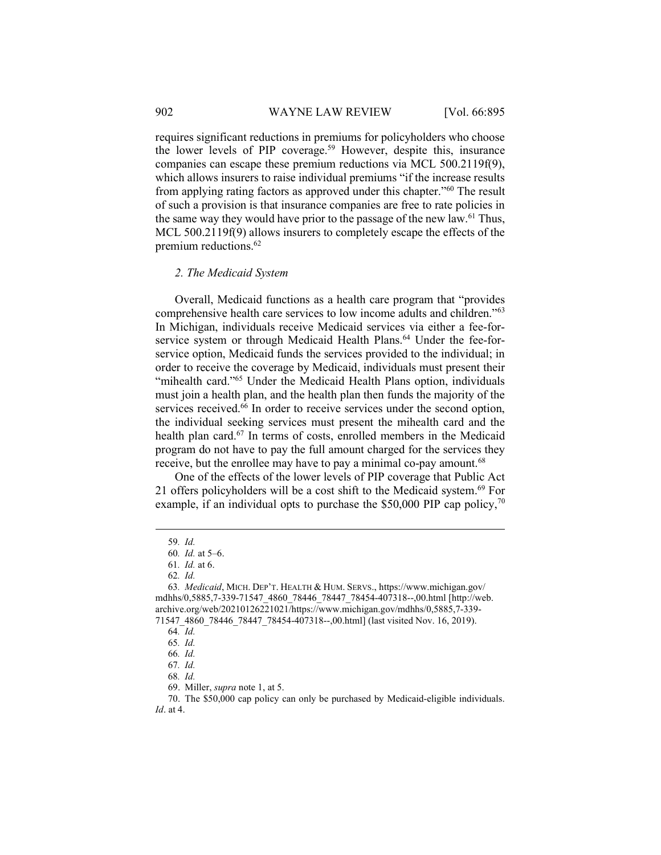requires significant reductions in premiums for policyholders who choose the lower levels of PIP coverage.<sup>59</sup> However, despite this, insurance companies can escape these premium reductions via MCL 500.2119f(9), which allows insurers to raise individual premiums "if the increase results from applying rating factors as approved under this chapter."<sup>60</sup> The result of such a provision is that insurance companies are free to rate policies in the same way they would have prior to the passage of the new law.<sup>61</sup> Thus, MCL 500.2119f(9) allows insurers to completely escape the effects of the premium reductions. $62$ 

## 2. The Medicaid System

Overall, Medicaid functions as a health care program that "provides comprehensive health care services to low income adults and children."<sup>63</sup> In Michigan, individuals receive Medicaid services via either a fee-forservice system or through Medicaid Health Plans.<sup>64</sup> Under the fee-forservice option, Medicaid funds the services provided to the individual; in order to receive the coverage by Medicaid, individuals must present their "mihealth card."<sup>65</sup> Under the Medicaid Health Plans option, individuals must join a health plan, and the health plan then funds the majority of the services received.<sup>66</sup> In order to receive services under the second option, the individual seeking services must present the mihealth card and the health plan card.<sup>67</sup> In terms of costs, enrolled members in the Medicaid program do not have to pay the full amount charged for the services they receive, but the enrollee may have to pay a minimal co-pay amount.<sup>68</sup>

One of the effects of the lower levels of PIP coverage that Public Act 21 offers policyholders will be a cost shift to the Medicaid system.<sup>69</sup> For example, if an individual opts to purchase the \$50,000 PIP cap policy,  $\frac{70}{2}$ 

<sup>59</sup>. Id.

<sup>60</sup>. Id. at 5–6.

<sup>61</sup>. Id. at 6.

<sup>62</sup>. Id.

<sup>63</sup>. Medicaid, MICH. DEP'T. HEALTH & HUM. SERVS., https://www.michigan.gov/ mdhhs/0,5885,7-339-71547\_4860\_78446\_78447\_78454-407318--,00.html [http://web. archive.org/web/20210126221021/https://www.michigan.gov/mdhhs/0,5885,7-339- 71547\_4860\_78446\_78447\_78454-407318--,00.html] (last visited Nov. 16, 2019).

<sup>64</sup>. Id.

<sup>65</sup>. Id.

<sup>66</sup>. Id.

<sup>67</sup>. Id.

<sup>68</sup>. Id.

 <sup>69.</sup> Miller, supra note 1, at 5.

 <sup>70.</sup> The \$50,000 cap policy can only be purchased by Medicaid-eligible individuals. Id. at 4.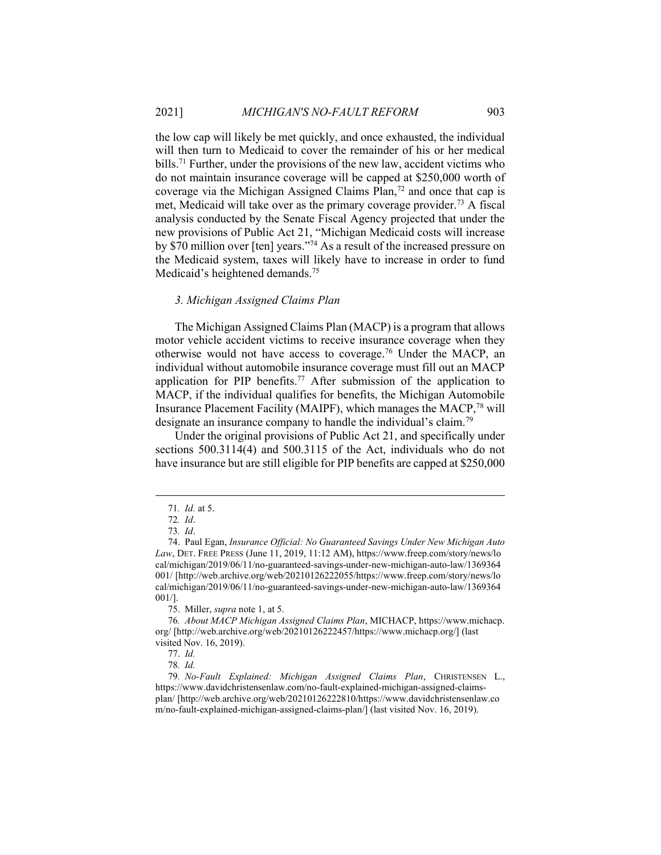the low cap will likely be met quickly, and once exhausted, the individual will then turn to Medicaid to cover the remainder of his or her medical bills.<sup>71</sup> Further, under the provisions of the new law, accident victims who do not maintain insurance coverage will be capped at \$250,000 worth of coverage via the Michigan Assigned Claims  $\hat{Plan}^{72}$  and once that cap is met, Medicaid will take over as the primary coverage provider.<sup>73</sup> A fiscal analysis conducted by the Senate Fiscal Agency projected that under the new provisions of Public Act 21, "Michigan Medicaid costs will increase by  $\frac{1}{20}$  million over [ten] years."<sup>74</sup> As a result of the increased pressure on the Medicaid system, taxes will likely have to increase in order to fund Medicaid's heightened demands.<sup>75</sup>

### 3. Michigan Assigned Claims Plan

The Michigan Assigned Claims Plan (MACP) is a program that allows motor vehicle accident victims to receive insurance coverage when they otherwise would not have access to coverage.<sup>76</sup> Under the MACP, an individual without automobile insurance coverage must fill out an MACP application for PIP benefits.<sup>77</sup> After submission of the application to MACP, if the individual qualifies for benefits, the Michigan Automobile Insurance Placement Facility (MAIPF), which manages the MACP,<sup>78</sup> will designate an insurance company to handle the individual's claim.<sup>79</sup>

Under the original provisions of Public Act 21, and specifically under sections 500.3114(4) and 500.3115 of the Act, individuals who do not have insurance but are still eligible for PIP benefits are capped at \$250,000

75. Miller, supra note 1, at 5.

<sup>71</sup>. Id. at 5.

<sup>72</sup>. Id.

<sup>73</sup>. Id.

 <sup>74.</sup> Paul Egan, Insurance Official: No Guaranteed Savings Under New Michigan Auto Law, DET. FREE PRESS (June 11, 2019, 11:12 AM), https://www.freep.com/story/news/lo cal/michigan/2019/06/11/no-guaranteed-savings-under-new-michigan-auto-law/1369364 001/ [http://web.archive.org/web/20210126222055/https://www.freep.com/story/news/lo cal/michigan/2019/06/11/no-guaranteed-savings-under-new-michigan-auto-law/1369364 001/].

<sup>76</sup>. About MACP Michigan Assigned Claims Plan, MICHACP, https://www.michacp. org/ [http://web.archive.org/web/20210126222457/https://www.michacp.org/] (last visited Nov. 16, 2019).

 <sup>77.</sup> Id.

<sup>78</sup>. Id.

<sup>79</sup>. No-Fault Explained: Michigan Assigned Claims Plan, CHRISTENSEN L., https://www.davidchristensenlaw.com/no-fault-explained-michigan-assigned-claimsplan/ [http://web.archive.org/web/20210126222810/https://www.davidchristensenlaw.co m/no-fault-explained-michigan-assigned-claims-plan/] (last visited Nov. 16, 2019).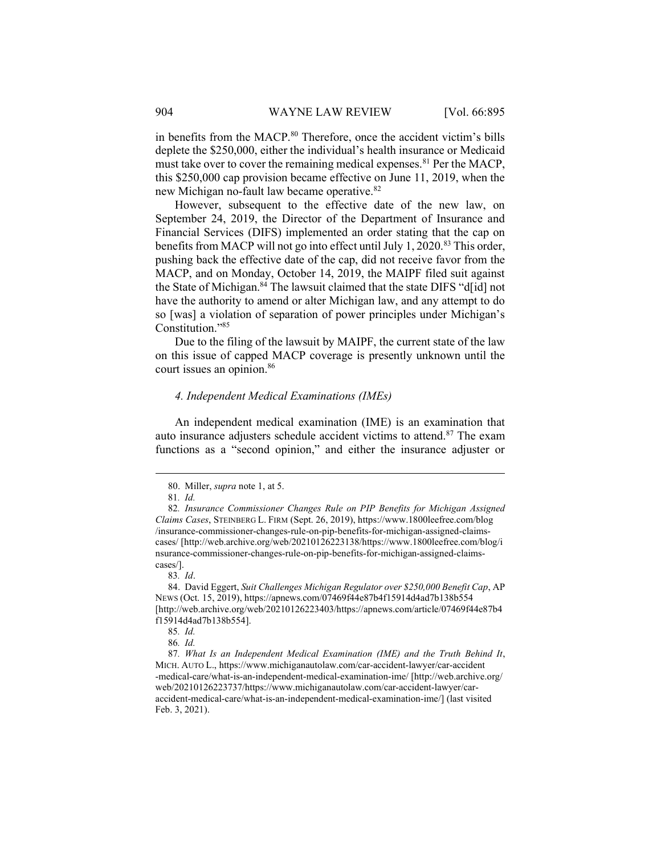in benefits from the MACP.<sup>80</sup> Therefore, once the accident victim's bills deplete the \$250,000, either the individual's health insurance or Medicaid must take over to cover the remaining medical expenses.<sup>81</sup> Per the MACP, this \$250,000 cap provision became effective on June 11, 2019, when the new Michigan no-fault law became operative.<sup>82</sup>

However, subsequent to the effective date of the new law, on September 24, 2019, the Director of the Department of Insurance and Financial Services (DIFS) implemented an order stating that the cap on benefits from MACP will not go into effect until July 1, 2020.<sup>83</sup> This order, pushing back the effective date of the cap, did not receive favor from the MACP, and on Monday, October 14, 2019, the MAIPF filed suit against the State of Michigan.<sup>84</sup> The lawsuit claimed that the state DIFS "d[id] not have the authority to amend or alter Michigan law, and any attempt to do so [was] a violation of separation of power principles under Michigan's Constitution."<sup>85</sup>

Due to the filing of the lawsuit by MAIPF, the current state of the law on this issue of capped MACP coverage is presently unknown until the court issues an opinion.<sup>86</sup>

#### 4. Independent Medical Examinations (IMEs)

An independent medical examination (IME) is an examination that auto insurance adjusters schedule accident victims to attend.<sup>87</sup> The exam functions as a "second opinion," and either the insurance adjuster or

 <sup>80.</sup> Miller, supra note 1, at 5.

<sup>81</sup>. Id.

<sup>82</sup>. Insurance Commissioner Changes Rule on PIP Benefits for Michigan Assigned Claims Cases, STEINBERG L. FIRM (Sept. 26, 2019), https://www.1800leefree.com/blog /insurance-commissioner-changes-rule-on-pip-benefits-for-michigan-assigned-claimscases/ [http://web.archive.org/web/20210126223138/https://www.1800leefree.com/blog/i nsurance-commissioner-changes-rule-on-pip-benefits-for-michigan-assigned-claimscases/].

<sup>83</sup>. Id.

 <sup>84.</sup> David Eggert, Suit Challenges Michigan Regulator over \$250,000 Benefit Cap, AP NEWS (Oct. 15, 2019), https://apnews.com/07469f44e87b4f15914d4ad7b138b554 [http://web.archive.org/web/20210126223403/https://apnews.com/article/07469f44e87b4 f15914d4ad7b138b554].

<sup>85</sup>. Id.

<sup>86</sup>. Id.

<sup>87</sup>. What Is an Independent Medical Examination (IME) and the Truth Behind It, MICH. AUTO L., https://www.michiganautolaw.com/car-accident-lawyer/car-accident -medical-care/what-is-an-independent-medical-examination-ime/ [http://web.archive.org/ web/20210126223737/https://www.michiganautolaw.com/car-accident-lawyer/caraccident-medical-care/what-is-an-independent-medical-examination-ime/] (last visited Feb. 3, 2021).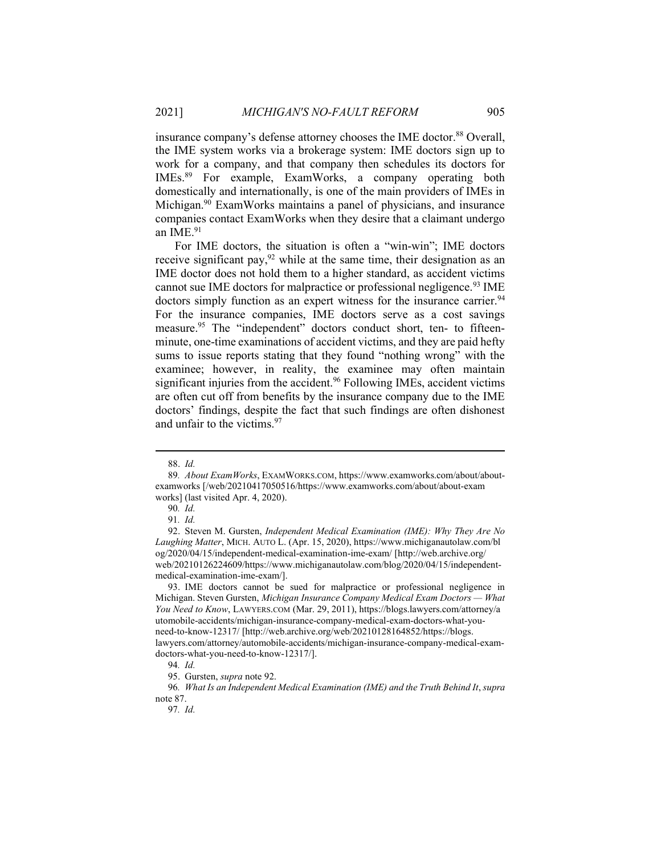insurance company's defense attorney chooses the IME doctor.<sup>88</sup> Overall, the IME system works via a brokerage system: IME doctors sign up to work for a company, and that company then schedules its doctors for IMEs.<sup>89</sup> For example, ExamWorks, a company operating both domestically and internationally, is one of the main providers of IMEs in Michigan.<sup>90</sup> ExamWorks maintains a panel of physicians, and insurance companies contact ExamWorks when they desire that a claimant undergo an IME.<sup>91</sup>

For IME doctors, the situation is often a "win-win"; IME doctors receive significant pay,  $92$  while at the same time, their designation as an IME doctor does not hold them to a higher standard, as accident victims cannot sue IME doctors for malpractice or professional negligence.<sup>93</sup> IME doctors simply function as an expert witness for the insurance carrier.<sup>94</sup> For the insurance companies, IME doctors serve as a cost savings measure.<sup>95</sup> The "independent" doctors conduct short, ten- to fifteenminute, one-time examinations of accident victims, and they are paid hefty sums to issue reports stating that they found "nothing wrong" with the examinee; however, in reality, the examinee may often maintain significant injuries from the accident.<sup>96</sup> Following IMEs, accident victims are often cut off from benefits by the insurance company due to the IME doctors' findings, despite the fact that such findings are often dishonest and unfair to the victims. $97$ 

 <sup>88.</sup> Id.

<sup>89</sup>. About ExamWorks, EXAMWORKS.COM, https://www.examworks.com/about/aboutexamworks [/web/20210417050516/https://www.examworks.com/about/about-exam works] (last visited Apr. 4, 2020).

<sup>90</sup>. Id.

<sup>91</sup>. Id.

 <sup>92.</sup> Steven M. Gursten, Independent Medical Examination (IME): Why They Are No Laughing Matter, MICH. AUTO L. (Apr. 15, 2020), https://www.michiganautolaw.com/bl og/2020/04/15/independent-medical-examination-ime-exam/ [http://web.archive.org/ web/20210126224609/https://www.michiganautolaw.com/blog/2020/04/15/independentmedical-examination-ime-exam/].

 <sup>93.</sup> IME doctors cannot be sued for malpractice or professional negligence in Michigan. Steven Gursten, Michigan Insurance Company Medical Exam Doctors — What You Need to Know, LAWYERS.COM (Mar. 29, 2011), https://blogs.lawyers.com/attorney/a utomobile-accidents/michigan-insurance-company-medical-exam-doctors-what-youneed-to-know-12317/ [http://web.archive.org/web/20210128164852/https://blogs. lawyers.com/attorney/automobile-accidents/michigan-insurance-company-medical-examdoctors-what-you-need-to-know-12317/].

<sup>94</sup>. Id.

 <sup>95.</sup> Gursten, supra note 92.

<sup>96</sup>. What Is an Independent Medical Examination (IME) and the Truth Behind It, supra note 87.

<sup>97</sup>. Id.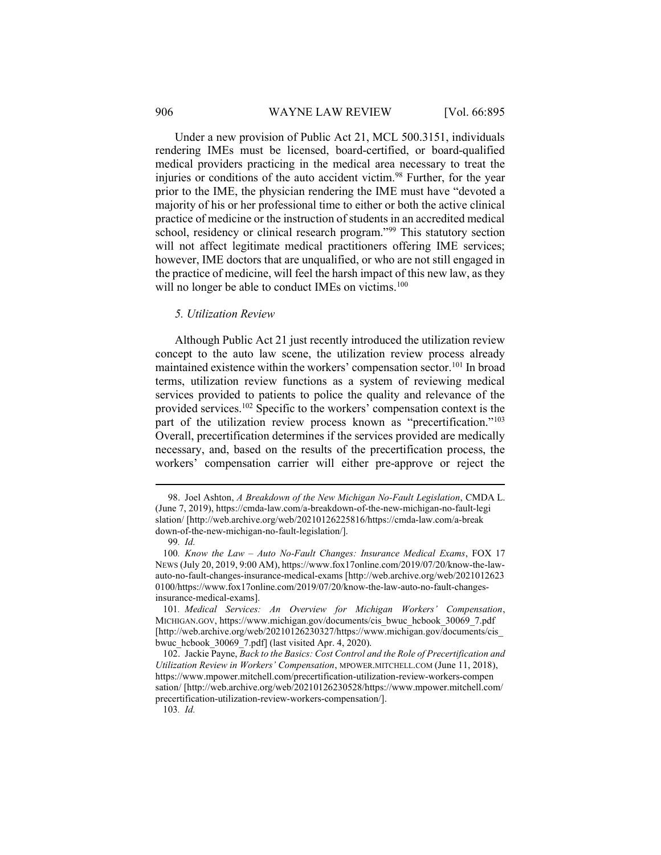#### 906 WAYNE LAW REVIEW [Vol. 66:895]

Under a new provision of Public Act 21, MCL 500.3151, individuals rendering IMEs must be licensed, board-certified, or board-qualified medical providers practicing in the medical area necessary to treat the injuries or conditions of the auto accident victim.<sup>98</sup> Further, for the year prior to the IME, the physician rendering the IME must have "devoted a majority of his or her professional time to either or both the active clinical practice of medicine or the instruction of students in an accredited medical school, residency or clinical research program."<sup>99</sup> This statutory section will not affect legitimate medical practitioners offering IME services; however, IME doctors that are unqualified, or who are not still engaged in the practice of medicine, will feel the harsh impact of this new law, as they will no longer be able to conduct IMEs on victims.<sup>100</sup>

### 5. Utilization Review

Although Public Act 21 just recently introduced the utilization review concept to the auto law scene, the utilization review process already maintained existence within the workers' compensation sector.<sup>101</sup> In broad terms, utilization review functions as a system of reviewing medical services provided to patients to police the quality and relevance of the provided services.<sup>102</sup> Specific to the workers' compensation context is the part of the utilization review process known as "precertification."<sup>103</sup> Overall, precertification determines if the services provided are medically necessary, and, based on the results of the precertification process, the workers' compensation carrier will either pre-approve or reject the

103. Id.

<sup>98.</sup> Joel Ashton, A Breakdown of the New Michigan No-Fault Legislation, CMDA L. (June 7, 2019), https://cmda-law.com/a-breakdown-of-the-new-michigan-no-fault-legi slation/ [http://web.archive.org/web/20210126225816/https://cmda-law.com/a-break down-of-the-new-michigan-no-fault-legislation/].

<sup>99</sup>. Id.

<sup>100</sup>. Know the Law – Auto No-Fault Changes: Insurance Medical Exams, FOX 17 NEWS (July 20, 2019, 9:00 AM), https://www.fox17online.com/2019/07/20/know-the-lawauto-no-fault-changes-insurance-medical-exams [http://web.archive.org/web/2021012623 0100/https://www.fox17online.com/2019/07/20/know-the-law-auto-no-fault-changesinsurance-medical-exams].

<sup>101</sup>. Medical Services: An Overview for Michigan Workers' Compensation, MICHIGAN.GOV, https://www.michigan.gov/documents/cis\_bwuc\_hcbook\_30069\_7.pdf [http://web.archive.org/web/20210126230327/https://www.michigan.gov/documents/cis\_ bwuc\_hcbook\_30069\_7.pdf] (last visited Apr. 4, 2020).

 <sup>102.</sup> Jackie Payne, Back to the Basics: Cost Control and the Role of Precertification and Utilization Review in Workers' Compensation, MPOWER.MITCHELL.COM (June 11, 2018), https://www.mpower.mitchell.com/precertification-utilization-review-workers-compen sation/ [http://web.archive.org/web/20210126230528/https://www.mpower.mitchell.com/ precertification-utilization-review-workers-compensation/].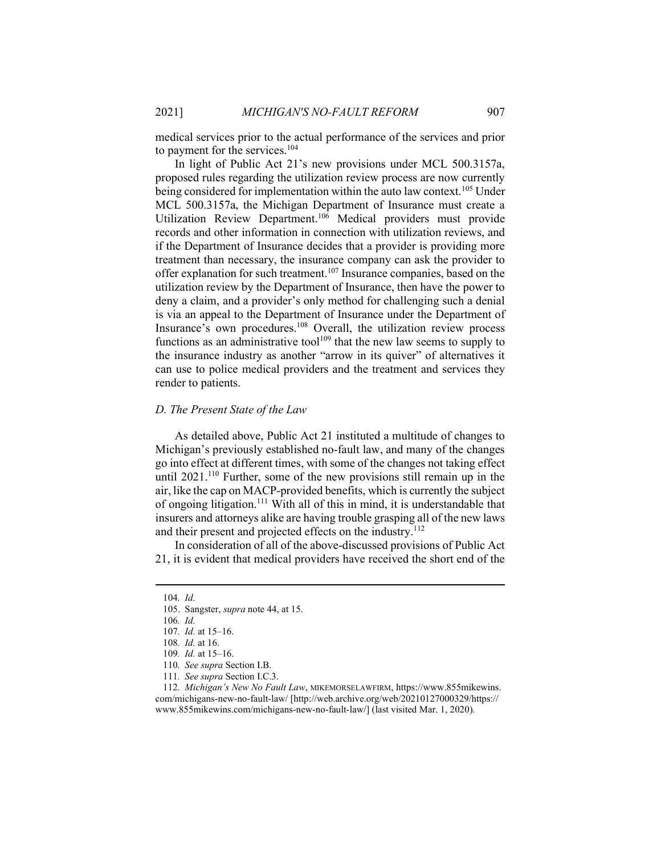medical services prior to the actual performance of the services and prior to payment for the services.<sup>104</sup>

In light of Public Act 21's new provisions under MCL 500.3157a, proposed rules regarding the utilization review process are now currently being considered for implementation within the auto law context.<sup>105</sup> Under MCL 500.3157a, the Michigan Department of Insurance must create a Utilization Review Department.<sup>106</sup> Medical providers must provide records and other information in connection with utilization reviews, and if the Department of Insurance decides that a provider is providing more treatment than necessary, the insurance company can ask the provider to offer explanation for such treatment.<sup>107</sup> Insurance companies, based on the utilization review by the Department of Insurance, then have the power to deny a claim, and a provider's only method for challenging such a denial is via an appeal to the Department of Insurance under the Department of Insurance's own procedures.<sup>108</sup> Overall, the utilization review process functions as an administrative tool<sup>109</sup> that the new law seems to supply to the insurance industry as another "arrow in its quiver" of alternatives it can use to police medical providers and the treatment and services they render to patients.

## D. The Present State of the Law

As detailed above, Public Act 21 instituted a multitude of changes to Michigan's previously established no-fault law, and many of the changes go into effect at different times, with some of the changes not taking effect until 2021.<sup>110</sup> Further, some of the new provisions still remain up in the air, like the cap on MACP-provided benefits, which is currently the subject of ongoing litigation.<sup>111</sup> With all of this in mind, it is understandable that insurers and attorneys alike are having trouble grasping all of the new laws and their present and projected effects on the industry.<sup>112</sup>

In consideration of all of the above-discussed provisions of Public Act 21, it is evident that medical providers have received the short end of the

111. See supra Section I.C.3.

<sup>104</sup>. Id.

 <sup>105.</sup> Sangster, supra note 44, at 15.

<sup>106</sup>. Id.

<sup>107</sup>. Id. at 15–16.

<sup>108</sup>. Id. at 16.

<sup>109</sup>. Id. at 15–16.

<sup>110</sup>. See supra Section I.B.

<sup>112</sup>. Michigan's New No Fault Law, MIKEMORSELAWFIRM, https://www.855mikewins. com/michigans-new-no-fault-law/ [http://web.archive.org/web/20210127000329/https:// www.855mikewins.com/michigans-new-no-fault-law/] (last visited Mar. 1, 2020).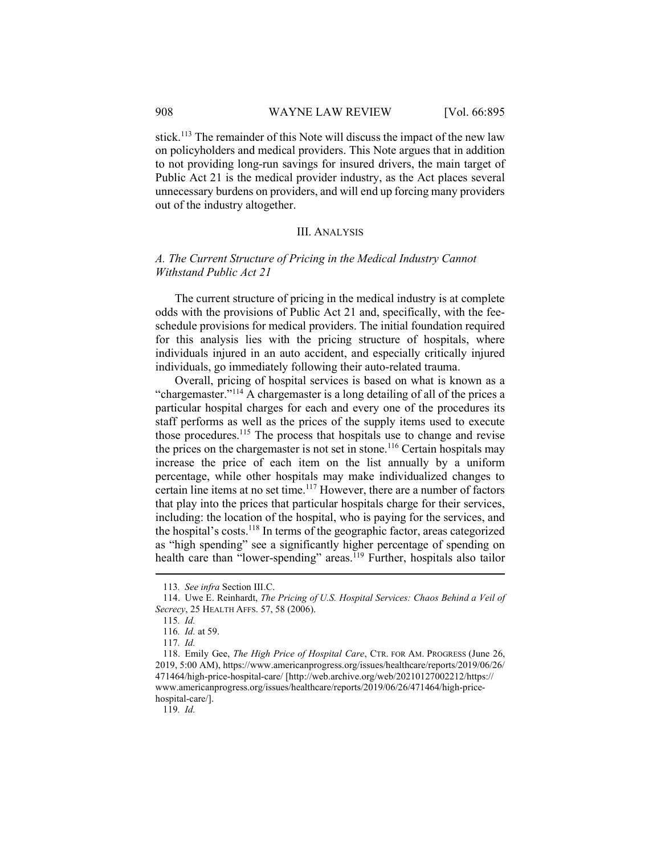#### 908 WAYNE LAW REVIEW [Vol. 66:895]

stick.<sup>113</sup> The remainder of this Note will discuss the impact of the new law on policyholders and medical providers. This Note argues that in addition to not providing long-run savings for insured drivers, the main target of Public Act 21 is the medical provider industry, as the Act places several unnecessary burdens on providers, and will end up forcing many providers out of the industry altogether.

# III. ANALYSIS

# A. The Current Structure of Pricing in the Medical Industry Cannot Withstand Public Act 21

The current structure of pricing in the medical industry is at complete odds with the provisions of Public Act 21 and, specifically, with the feeschedule provisions for medical providers. The initial foundation required for this analysis lies with the pricing structure of hospitals, where individuals injured in an auto accident, and especially critically injured individuals, go immediately following their auto-related trauma.

Overall, pricing of hospital services is based on what is known as a "chargemaster."<sup>114</sup> A chargemaster is a long detailing of all of the prices a particular hospital charges for each and every one of the procedures its staff performs as well as the prices of the supply items used to execute those procedures.<sup>115</sup> The process that hospitals use to change and revise the prices on the chargemaster is not set in stone.<sup>116</sup> Certain hospitals may increase the price of each item on the list annually by a uniform percentage, while other hospitals may make individualized changes to certain line items at no set time.<sup>117</sup> However, there are a number of factors that play into the prices that particular hospitals charge for their services, including: the location of the hospital, who is paying for the services, and the hospital's costs. $118$  In terms of the geographic factor, areas categorized as "high spending" see a significantly higher percentage of spending on health care than "lower-spending" areas.<sup>119</sup> Further, hospitals also tailor

 118. Emily Gee, The High Price of Hospital Care, CTR. FOR AM. PROGRESS (June 26, 2019, 5:00 AM), https://www.americanprogress.org/issues/healthcare/reports/2019/06/26/ 471464/high-price-hospital-care/ [http://web.archive.org/web/20210127002212/https:// www.americanprogress.org/issues/healthcare/reports/2019/06/26/471464/high-pricehospital-care/].

119. Id.

<sup>113</sup>. See infra Section III.C.

 <sup>114.</sup> Uwe E. Reinhardt, The Pricing of U.S. Hospital Services: Chaos Behind a Veil of Secrecy, 25 HEALTH AFFS. 57, 58 (2006).

<sup>115</sup>. Id.

<sup>116</sup>. Id. at 59.

<sup>117</sup>. Id.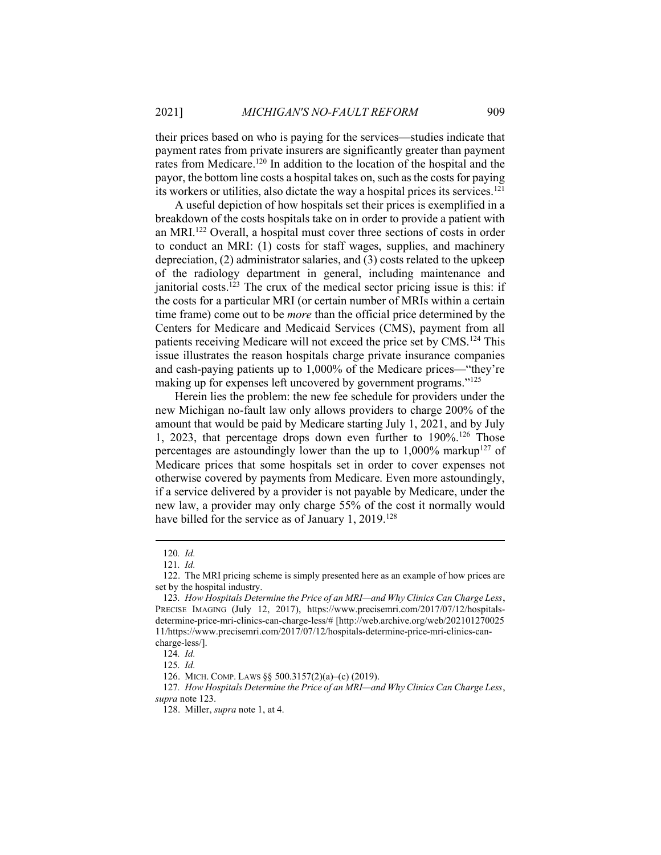their prices based on who is paying for the services—studies indicate that payment rates from private insurers are significantly greater than payment rates from Medicare.<sup>120</sup> In addition to the location of the hospital and the payor, the bottom line costs a hospital takes on, such as the costs for paying its workers or utilities, also dictate the way a hospital prices its services.<sup>121</sup>

A useful depiction of how hospitals set their prices is exemplified in a breakdown of the costs hospitals take on in order to provide a patient with an MRI.<sup>122</sup> Overall, a hospital must cover three sections of costs in order to conduct an MRI: (1) costs for staff wages, supplies, and machinery depreciation, (2) administrator salaries, and (3) costs related to the upkeep of the radiology department in general, including maintenance and janitorial costs.<sup>123</sup> The crux of the medical sector pricing issue is this: if the costs for a particular MRI (or certain number of MRIs within a certain time frame) come out to be *more* than the official price determined by the Centers for Medicare and Medicaid Services (CMS), payment from all patients receiving Medicare will not exceed the price set by CMS.<sup>124</sup> This issue illustrates the reason hospitals charge private insurance companies and cash-paying patients up to 1,000% of the Medicare prices—"they're making up for expenses left uncovered by government programs."<sup>125</sup>

Herein lies the problem: the new fee schedule for providers under the new Michigan no-fault law only allows providers to charge 200% of the amount that would be paid by Medicare starting July 1, 2021, and by July 1, 2023, that percentage drops down even further to  $190\%$ <sup>126</sup> Those percentages are astoundingly lower than the up to  $1,000\%$  markup<sup>127</sup> of Medicare prices that some hospitals set in order to cover expenses not otherwise covered by payments from Medicare. Even more astoundingly, if a service delivered by a provider is not payable by Medicare, under the new law, a provider may only charge 55% of the cost it normally would have billed for the service as of January 1, 2019.<sup>128</sup>

<sup>120</sup>. Id.

<sup>121</sup>. Id.

 <sup>122.</sup> The MRI pricing scheme is simply presented here as an example of how prices are set by the hospital industry.

<sup>123</sup>. How Hospitals Determine the Price of an MRI—and Why Clinics Can Charge Less, PRECISE IMAGING (July 12, 2017), https://www.precisemri.com/2017/07/12/hospitalsdetermine-price-mri-clinics-can-charge-less/# [http://web.archive.org/web/202101270025 11/https://www.precisemri.com/2017/07/12/hospitals-determine-price-mri-clinics-cancharge-less/].

<sup>124</sup>. Id.

<sup>125</sup>. Id.

 <sup>126.</sup> MICH. COMP. LAWS §§ 500.3157(2)(a)–(c) (2019).

<sup>127.</sup> How Hospitals Determine the Price of an MRI—and Why Clinics Can Charge Less, supra note 123.

 <sup>128.</sup> Miller, supra note 1, at 4.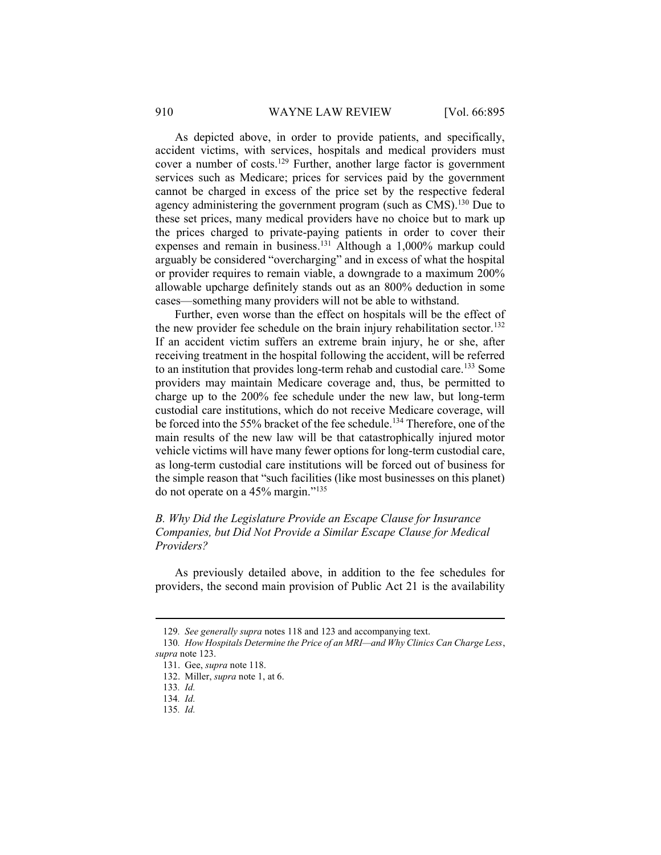As depicted above, in order to provide patients, and specifically, accident victims, with services, hospitals and medical providers must cover a number of costs.<sup>129</sup> Further, another large factor is government services such as Medicare; prices for services paid by the government cannot be charged in excess of the price set by the respective federal agency administering the government program (such as CMS).<sup>130</sup> Due to these set prices, many medical providers have no choice but to mark up the prices charged to private-paying patients in order to cover their expenses and remain in business.<sup>131</sup> Although a  $1,000\%$  markup could arguably be considered "overcharging" and in excess of what the hospital or provider requires to remain viable, a downgrade to a maximum 200% allowable upcharge definitely stands out as an 800% deduction in some cases—something many providers will not be able to withstand.

Further, even worse than the effect on hospitals will be the effect of the new provider fee schedule on the brain injury rehabilitation sector.<sup>132</sup> If an accident victim suffers an extreme brain injury, he or she, after receiving treatment in the hospital following the accident, will be referred to an institution that provides long-term rehab and custodial care.<sup>133</sup> Some providers may maintain Medicare coverage and, thus, be permitted to charge up to the 200% fee schedule under the new law, but long-term custodial care institutions, which do not receive Medicare coverage, will be forced into the 55% bracket of the fee schedule.<sup>134</sup> Therefore, one of the main results of the new law will be that catastrophically injured motor vehicle victims will have many fewer options for long-term custodial care, as long-term custodial care institutions will be forced out of business for the simple reason that "such facilities (like most businesses on this planet) do not operate on a 45% margin."<sup>135</sup>

B. Why Did the Legislature Provide an Escape Clause for Insurance Companies, but Did Not Provide a Similar Escape Clause for Medical Providers?

As previously detailed above, in addition to the fee schedules for providers, the second main provision of Public Act 21 is the availability

<sup>129</sup>. See generally supra notes 118 and 123 and accompanying text.

<sup>130</sup>. How Hospitals Determine the Price of an MRI—and Why Clinics Can Charge Less, supra note 123.

 <sup>131.</sup> Gee, supra note 118.

 <sup>132.</sup> Miller, supra note 1, at 6.

<sup>133</sup>. Id.

<sup>134</sup>. Id.

<sup>135</sup>. Id.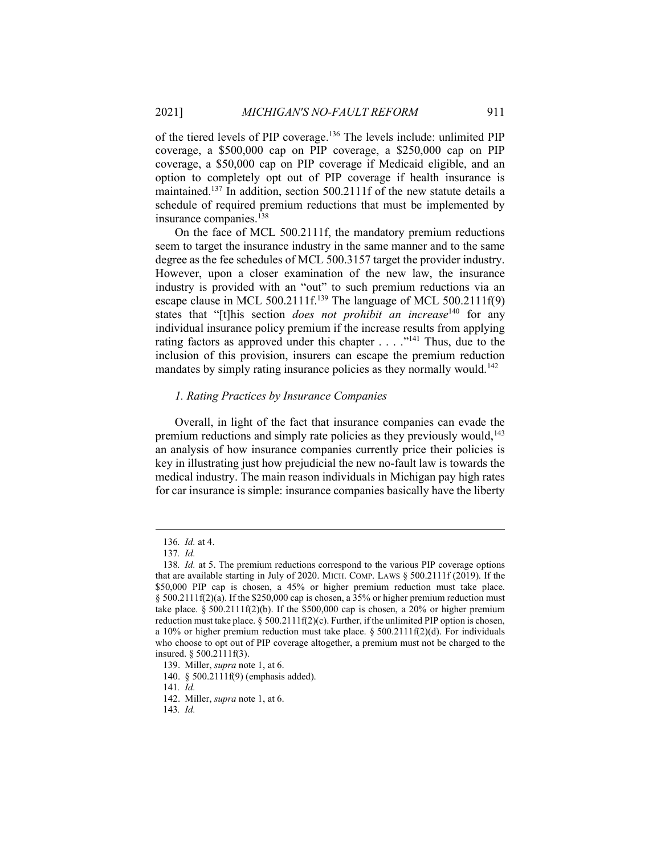of the tiered levels of PIP coverage.<sup>136</sup> The levels include: unlimited PIP coverage, a \$500,000 cap on PIP coverage, a \$250,000 cap on PIP coverage, a \$50,000 cap on PIP coverage if Medicaid eligible, and an option to completely opt out of PIP coverage if health insurance is maintained.<sup>137</sup> In addition, section 500.2111f of the new statute details a schedule of required premium reductions that must be implemented by insurance companies.<sup>138</sup>

On the face of MCL 500.2111f, the mandatory premium reductions seem to target the insurance industry in the same manner and to the same degree as the fee schedules of MCL 500.3157 target the provider industry. However, upon a closer examination of the new law, the insurance industry is provided with an "out" to such premium reductions via an escape clause in MCL 500.2111f.<sup>139</sup> The language of MCL 500.2111f(9) states that "[t]his section *does not prohibit an increase*<sup>140</sup> for any individual insurance policy premium if the increase results from applying rating factors as approved under this chapter . . . . "<sup>141</sup> Thus, due to the inclusion of this provision, insurers can escape the premium reduction mandates by simply rating insurance policies as they normally would.<sup>142</sup>

#### 1. Rating Practices by Insurance Companies

Overall, in light of the fact that insurance companies can evade the premium reductions and simply rate policies as they previously would,<sup>143</sup> an analysis of how insurance companies currently price their policies is key in illustrating just how prejudicial the new no-fault law is towards the medical industry. The main reason individuals in Michigan pay high rates for car insurance is simple: insurance companies basically have the liberty

<sup>136</sup>. Id. at 4.

<sup>137</sup>. Id.

<sup>138</sup>. Id. at 5. The premium reductions correspond to the various PIP coverage options that are available starting in July of 2020. MICH. COMP. LAWS § 500.2111f (2019). If the \$50,000 PIP cap is chosen, a 45% or higher premium reduction must take place. § 500.2111f(2)(a). If the \$250,000 cap is chosen, a 35% or higher premium reduction must take place. § 500.2111f(2)(b). If the \$500,000 cap is chosen, a 20% or higher premium reduction must take place.  $\S 500.2111f(2)(c)$ . Further, if the unlimited PIP option is chosen, a 10% or higher premium reduction must take place.  $\S 500.2111f(2)(d)$ . For individuals who choose to opt out of PIP coverage altogether, a premium must not be charged to the insured. § 500.2111f(3).

 <sup>139.</sup> Miller, supra note 1, at 6.

 <sup>140. § 500.2111</sup>f(9) (emphasis added).

<sup>141</sup>. Id.

 <sup>142.</sup> Miller, supra note 1, at 6.

<sup>143</sup>. Id.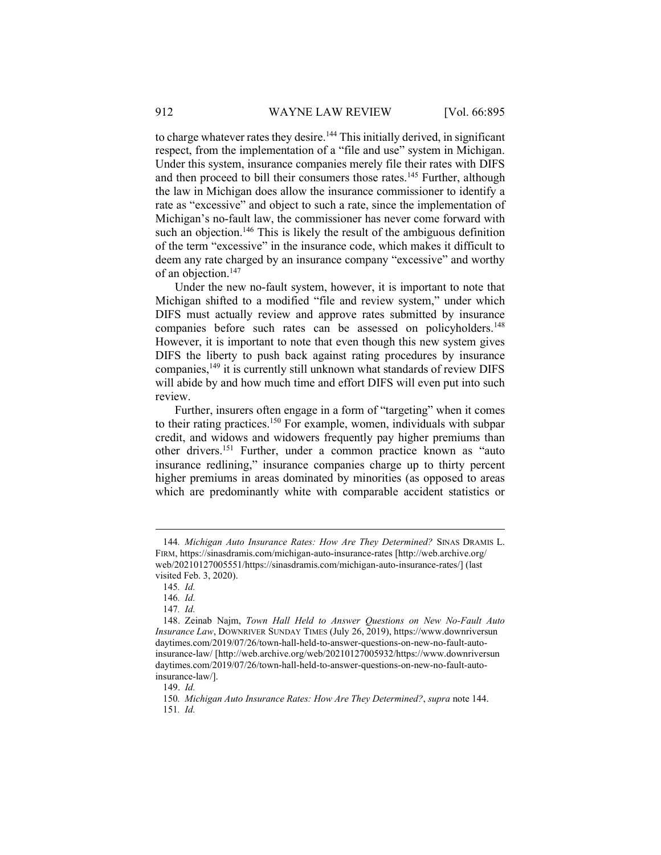to charge whatever rates they desire.<sup>144</sup> This initially derived, in significant respect, from the implementation of a "file and use" system in Michigan. Under this system, insurance companies merely file their rates with DIFS and then proceed to bill their consumers those rates.<sup>145</sup> Further, although the law in Michigan does allow the insurance commissioner to identify a rate as "excessive" and object to such a rate, since the implementation of Michigan's no-fault law, the commissioner has never come forward with such an objection.<sup>146</sup> This is likely the result of the ambiguous definition of the term "excessive" in the insurance code, which makes it difficult to deem any rate charged by an insurance company "excessive" and worthy of an objection.<sup>147</sup>

Under the new no-fault system, however, it is important to note that Michigan shifted to a modified "file and review system," under which DIFS must actually review and approve rates submitted by insurance companies before such rates can be assessed on policyholders.<sup>148</sup> However, it is important to note that even though this new system gives DIFS the liberty to push back against rating procedures by insurance companies,<sup>149</sup> it is currently still unknown what standards of review DIFS will abide by and how much time and effort DIFS will even put into such review.

Further, insurers often engage in a form of "targeting" when it comes to their rating practices.<sup>150</sup> For example, women, individuals with subpar credit, and widows and widowers frequently pay higher premiums than other drivers.<sup>151</sup> Further, under a common practice known as "auto insurance redlining," insurance companies charge up to thirty percent higher premiums in areas dominated by minorities (as opposed to areas which are predominantly white with comparable accident statistics or

<sup>144</sup>. Michigan Auto Insurance Rates: How Are They Determined? SINAS DRAMIS L. FIRM, https://sinasdramis.com/michigan-auto-insurance-rates [http://web.archive.org/ web/20210127005551/https://sinasdramis.com/michigan-auto-insurance-rates/] (last visited Feb. 3, 2020).

<sup>145</sup>. Id.

<sup>146</sup>. Id.

<sup>147</sup>. Id.

 <sup>148.</sup> Zeinab Najm, Town Hall Held to Answer Questions on New No-Fault Auto Insurance Law, DOWNRIVER SUNDAY TIMES (July 26, 2019), https://www.downriversun daytimes.com/2019/07/26/town-hall-held-to-answer-questions-on-new-no-fault-autoinsurance-law/ [http://web.archive.org/web/20210127005932/https://www.downriversun daytimes.com/2019/07/26/town-hall-held-to-answer-questions-on-new-no-fault-autoinsurance-law/].

 <sup>149.</sup> Id.

<sup>150</sup>. Michigan Auto Insurance Rates: How Are They Determined?, supra note 144. 151. Id.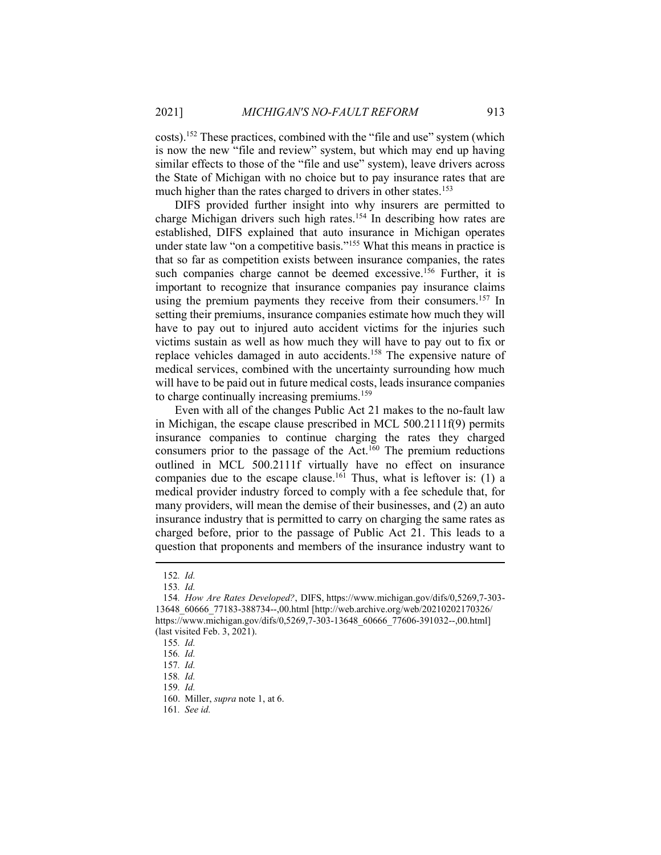costs).<sup>152</sup> These practices, combined with the "file and use" system (which is now the new "file and review" system, but which may end up having similar effects to those of the "file and use" system), leave drivers across the State of Michigan with no choice but to pay insurance rates that are much higher than the rates charged to drivers in other states.<sup>153</sup>

DIFS provided further insight into why insurers are permitted to charge Michigan drivers such high rates.<sup>154</sup> In describing how rates are established, DIFS explained that auto insurance in Michigan operates under state law "on a competitive basis."<sup>155</sup> What this means in practice is that so far as competition exists between insurance companies, the rates such companies charge cannot be deemed excessive.<sup>156</sup> Further, it is important to recognize that insurance companies pay insurance claims using the premium payments they receive from their consumers.<sup>157</sup> In setting their premiums, insurance companies estimate how much they will have to pay out to injured auto accident victims for the injuries such victims sustain as well as how much they will have to pay out to fix or replace vehicles damaged in auto accidents.<sup>158</sup> The expensive nature of medical services, combined with the uncertainty surrounding how much will have to be paid out in future medical costs, leads insurance companies to charge continually increasing premiums.<sup>159</sup>

Even with all of the changes Public Act 21 makes to the no-fault law in Michigan, the escape clause prescribed in MCL 500.2111f(9) permits insurance companies to continue charging the rates they charged consumers prior to the passage of the Act.<sup>160</sup> The premium reductions outlined in MCL 500.2111f virtually have no effect on insurance companies due to the escape clause.<sup>161</sup> Thus, what is leftover is: (1) a medical provider industry forced to comply with a fee schedule that, for many providers, will mean the demise of their businesses, and (2) an auto insurance industry that is permitted to carry on charging the same rates as charged before, prior to the passage of Public Act 21. This leads to a question that proponents and members of the insurance industry want to

<sup>152</sup>. Id.

<sup>153</sup>. Id.

<sup>154</sup>. How Are Rates Developed?, DIFS, https://www.michigan.gov/difs/0,5269,7-303- 13648\_60666\_77183-388734--,00.html [http://web.archive.org/web/20210202170326/ https://www.michigan.gov/difs/0,5269,7-303-13648\_60666\_77606-391032--,00.html (last visited Feb. 3, 2021).

<sup>155</sup>. Id.

<sup>156</sup>. Id.

<sup>157</sup>. Id.

<sup>158</sup>. Id.

<sup>159</sup>. Id.

 <sup>160.</sup> Miller, supra note 1, at 6.

<sup>161</sup>. See id.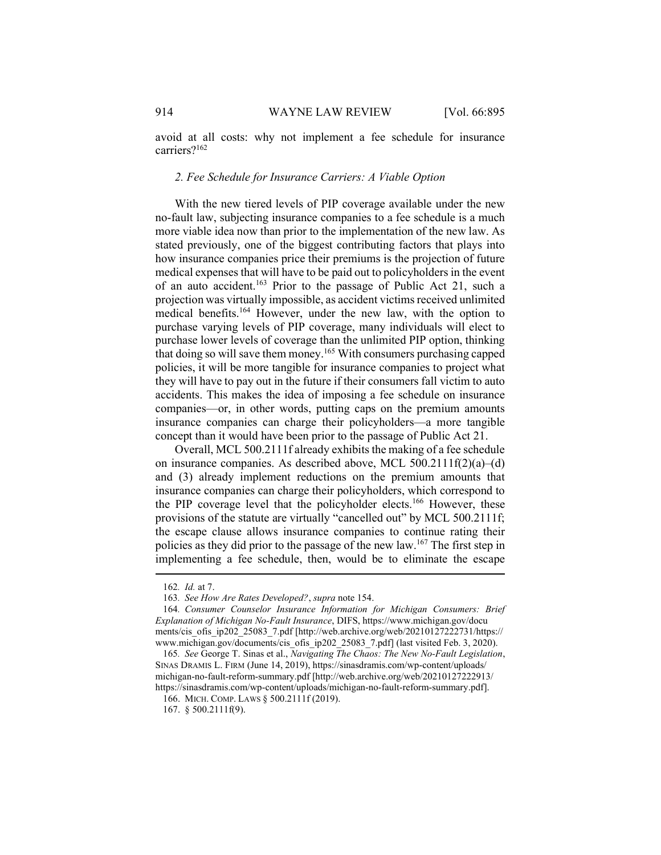avoid at all costs: why not implement a fee schedule for insurance carriers?<sup>162</sup>

## 2. Fee Schedule for Insurance Carriers: A Viable Option

With the new tiered levels of PIP coverage available under the new no-fault law, subjecting insurance companies to a fee schedule is a much more viable idea now than prior to the implementation of the new law. As stated previously, one of the biggest contributing factors that plays into how insurance companies price their premiums is the projection of future medical expenses that will have to be paid out to policyholders in the event of an auto accident.<sup>163</sup> Prior to the passage of Public Act 21, such a projection was virtually impossible, as accident victims received unlimited medical benefits.<sup>164</sup> However, under the new law, with the option to purchase varying levels of PIP coverage, many individuals will elect to purchase lower levels of coverage than the unlimited PIP option, thinking that doing so will save them money.<sup>165</sup> With consumers purchasing capped policies, it will be more tangible for insurance companies to project what they will have to pay out in the future if their consumers fall victim to auto accidents. This makes the idea of imposing a fee schedule on insurance companies—or, in other words, putting caps on the premium amounts insurance companies can charge their policyholders—a more tangible concept than it would have been prior to the passage of Public Act 21.

Overall, MCL 500.2111f already exhibits the making of a fee schedule on insurance companies. As described above, MCL 500.2111f(2)(a)–(d) and (3) already implement reductions on the premium amounts that insurance companies can charge their policyholders, which correspond to the PIP coverage level that the policyholder elects.<sup>166</sup> However, these provisions of the statute are virtually "cancelled out" by MCL 500.2111f; the escape clause allows insurance companies to continue rating their policies as they did prior to the passage of the new law.<sup>167</sup> The first step in implementing a fee schedule, then, would be to eliminate the escape

<sup>162</sup>. Id. at 7.

<sup>163</sup>. See How Are Rates Developed?, supra note 154.

<sup>164</sup>. Consumer Counselor Insurance Information for Michigan Consumers: Brief Explanation of Michigan No-Fault Insurance, DIFS, https://www.michigan.gov/docu ments/cis\_ofis\_ip202\_25083\_7.pdf [http://web.archive.org/web/20210127222731/https:// www.michigan.gov/documents/cis\_ofis\_ip202\_25083\_7.pdf] (last visited Feb. 3, 2020).

<sup>165</sup>. See George T. Sinas et al., Navigating The Chaos: The New No-Fault Legislation, SINAS DRAMIS L. FIRM (June 14, 2019), https://sinasdramis.com/wp-content/uploads/ michigan-no-fault-reform-summary.pdf [http://web.archive.org/web/20210127222913/ https://sinasdramis.com/wp-content/uploads/michigan-no-fault-reform-summary.pdf].

 <sup>166.</sup> MICH. COMP. LAWS § 500.2111f (2019).

 <sup>167. § 500.2111</sup>f(9).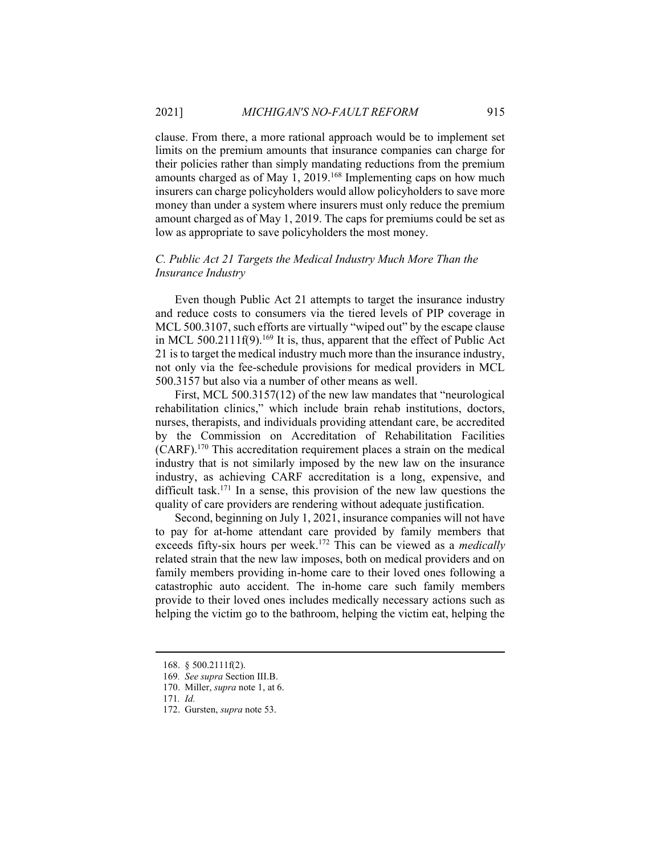clause. From there, a more rational approach would be to implement set limits on the premium amounts that insurance companies can charge for their policies rather than simply mandating reductions from the premium amounts charged as of May 1,  $2019$ .<sup>168</sup> Implementing caps on how much insurers can charge policyholders would allow policyholders to save more money than under a system where insurers must only reduce the premium amount charged as of May 1, 2019. The caps for premiums could be set as low as appropriate to save policyholders the most money.

# C. Public Act 21 Targets the Medical Industry Much More Than the Insurance Industry

Even though Public Act 21 attempts to target the insurance industry and reduce costs to consumers via the tiered levels of PIP coverage in MCL 500.3107, such efforts are virtually "wiped out" by the escape clause in MCL 500.2111f(9).<sup>169</sup> It is, thus, apparent that the effect of Public Act 21 is to target the medical industry much more than the insurance industry, not only via the fee-schedule provisions for medical providers in MCL 500.3157 but also via a number of other means as well.

First, MCL 500.3157(12) of the new law mandates that "neurological rehabilitation clinics," which include brain rehab institutions, doctors, nurses, therapists, and individuals providing attendant care, be accredited by the Commission on Accreditation of Rehabilitation Facilities (CARF).<sup>170</sup> This accreditation requirement places a strain on the medical industry that is not similarly imposed by the new law on the insurance industry, as achieving CARF accreditation is a long, expensive, and difficult task.<sup>171</sup> In a sense, this provision of the new law questions the quality of care providers are rendering without adequate justification.

Second, beginning on July 1, 2021, insurance companies will not have to pay for at-home attendant care provided by family members that exceeds fifty-six hours per week.<sup>172</sup> This can be viewed as a *medically* related strain that the new law imposes, both on medical providers and on family members providing in-home care to their loved ones following a catastrophic auto accident. The in-home care such family members provide to their loved ones includes medically necessary actions such as helping the victim go to the bathroom, helping the victim eat, helping the

 <sup>168. § 500.2111</sup>f(2).

<sup>169</sup>. See supra Section III.B.

 <sup>170.</sup> Miller, supra note 1, at 6.

<sup>171</sup>. Id.

 <sup>172.</sup> Gursten, supra note 53.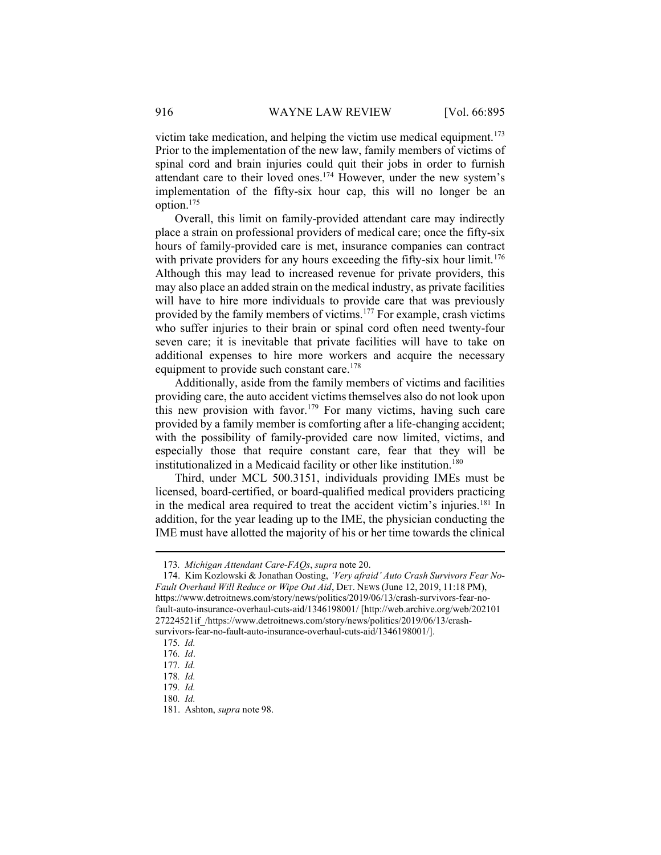victim take medication, and helping the victim use medical equipment.<sup>173</sup> Prior to the implementation of the new law, family members of victims of spinal cord and brain injuries could quit their jobs in order to furnish attendant care to their loved ones.<sup>174</sup> However, under the new system's implementation of the fifty-six hour cap, this will no longer be an option.<sup>175</sup>

Overall, this limit on family-provided attendant care may indirectly place a strain on professional providers of medical care; once the fifty-six hours of family-provided care is met, insurance companies can contract with private providers for any hours exceeding the fifty-six hour limit.<sup>176</sup> Although this may lead to increased revenue for private providers, this may also place an added strain on the medical industry, as private facilities will have to hire more individuals to provide care that was previously provided by the family members of victims.<sup>177</sup> For example, crash victims who suffer injuries to their brain or spinal cord often need twenty-four seven care; it is inevitable that private facilities will have to take on additional expenses to hire more workers and acquire the necessary equipment to provide such constant care.<sup>178</sup>

Additionally, aside from the family members of victims and facilities providing care, the auto accident victims themselves also do not look upon this new provision with favor.<sup>179</sup> For many victims, having such care provided by a family member is comforting after a life-changing accident; with the possibility of family-provided care now limited, victims, and especially those that require constant care, fear that they will be institutionalized in a Medicaid facility or other like institution.<sup>180</sup>

Third, under MCL 500.3151, individuals providing IMEs must be licensed, board-certified, or board-qualified medical providers practicing in the medical area required to treat the accident victim's injuries.<sup>181</sup> In addition, for the year leading up to the IME, the physician conducting the IME must have allotted the majority of his or her time towards the clinical

<sup>173</sup>. Michigan Attendant Care-FAQs, supra note 20.

 <sup>174.</sup> Kim Kozlowski & Jonathan Oosting, 'Very afraid' Auto Crash Survivors Fear No-Fault Overhaul Will Reduce or Wipe Out Aid, DET. NEWS (June 12, 2019, 11:18 PM), https://www.detroitnews.com/story/news/politics/2019/06/13/crash-survivors-fear-nofault-auto-insurance-overhaul-cuts-aid/1346198001/ [http://web.archive.org/web/202101 27224521if\_/https://www.detroitnews.com/story/news/politics/2019/06/13/crashsurvivors-fear-no-fault-auto-insurance-overhaul-cuts-aid/1346198001/].

<sup>175</sup>. Id.

<sup>176</sup>. Id.

<sup>177</sup>. Id.

<sup>178</sup>. Id.

<sup>179</sup>. Id.

<sup>180</sup>. Id.

 <sup>181.</sup> Ashton, supra note 98.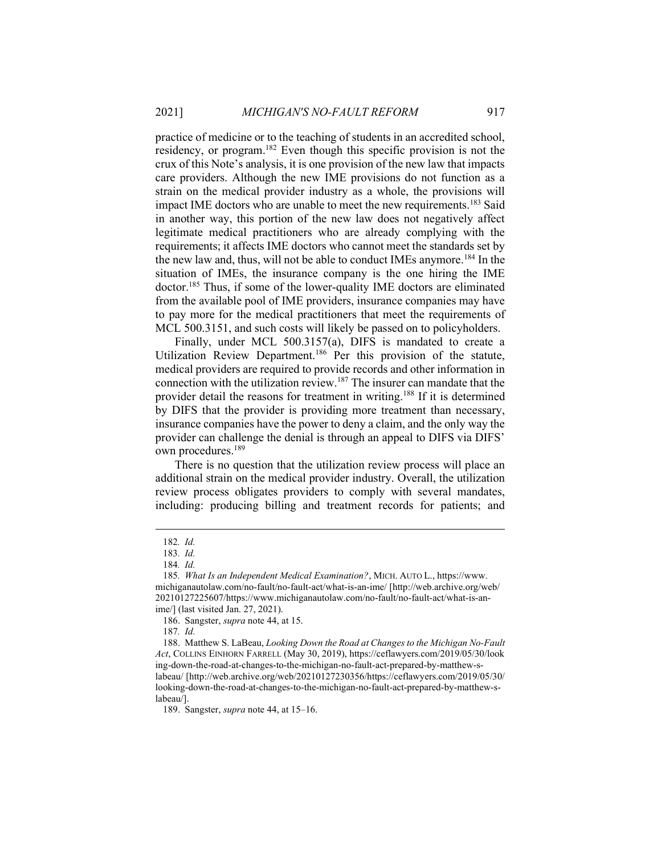practice of medicine or to the teaching of students in an accredited school, residency, or program.<sup>182</sup> Even though this specific provision is not the crux of this Note's analysis, it is one provision of the new law that impacts care providers. Although the new IME provisions do not function as a strain on the medical provider industry as a whole, the provisions will impact IME doctors who are unable to meet the new requirements.<sup>183</sup> Said in another way, this portion of the new law does not negatively affect legitimate medical practitioners who are already complying with the requirements; it affects IME doctors who cannot meet the standards set by the new law and, thus, will not be able to conduct IMEs anymore.<sup>184</sup> In the situation of IMEs, the insurance company is the one hiring the IME doctor.<sup>185</sup> Thus, if some of the lower-quality IME doctors are eliminated from the available pool of IME providers, insurance companies may have to pay more for the medical practitioners that meet the requirements of MCL 500.3151, and such costs will likely be passed on to policyholders.

Finally, under MCL 500.3157(a), DIFS is mandated to create a Utilization Review Department.<sup>186</sup> Per this provision of the statute, medical providers are required to provide records and other information in connection with the utilization review.<sup>187</sup> The insurer can mandate that the provider detail the reasons for treatment in writing.<sup>188</sup> If it is determined by DIFS that the provider is providing more treatment than necessary, insurance companies have the power to deny a claim, and the only way the provider can challenge the denial is through an appeal to DIFS via DIFS' own procedures.<sup>189</sup>

There is no question that the utilization review process will place an additional strain on the medical provider industry. Overall, the utilization review process obligates providers to comply with several mandates, including: producing billing and treatment records for patients; and

187. Id.

 188. Matthew S. LaBeau, Looking Down the Road at Changes to the Michigan No-Fault Act, COLLINS EINHORN FARRELL (May 30, 2019), https://ceflawyers.com/2019/05/30/look ing-down-the-road-at-changes-to-the-michigan-no-fault-act-prepared-by-matthew-slabeau/ [http://web.archive.org/web/20210127230356/https://ceflawyers.com/2019/05/30/ looking-down-the-road-at-changes-to-the-michigan-no-fault-act-prepared-by-matthew-slabeau/].

189. Sangster, *supra* note 44, at 15–16.

<sup>182</sup>. Id.

<sup>183</sup>. Id.

<sup>184</sup>. Id.

<sup>185</sup>. What Is an Independent Medical Examination?, MICH. AUTO L., https://www. michiganautolaw.com/no-fault/no-fault-act/what-is-an-ime/ [http://web.archive.org/web/ 20210127225607/https://www.michiganautolaw.com/no-fault/no-fault-act/what-is-anime/] (last visited Jan. 27, 2021).

 <sup>186.</sup> Sangster, supra note 44, at 15.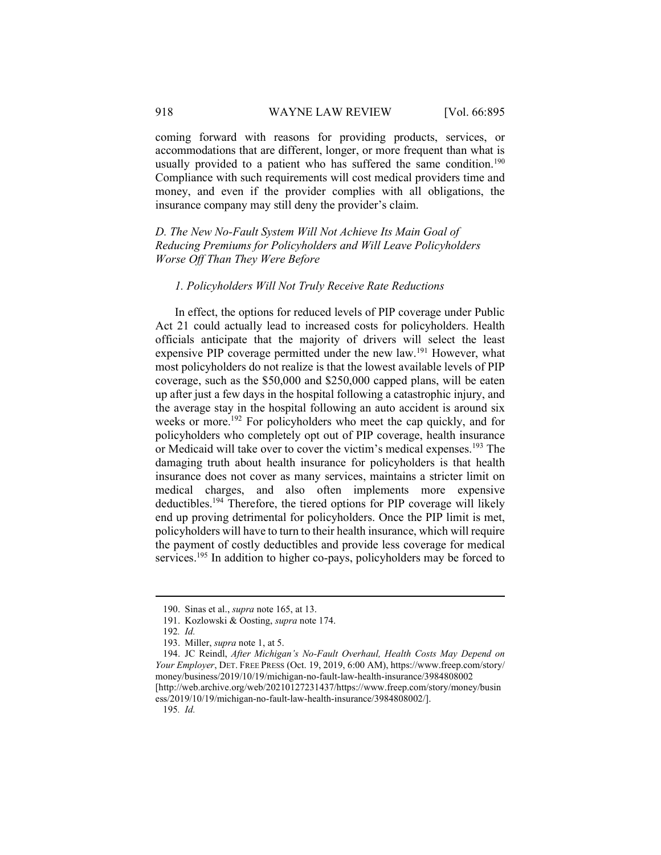coming forward with reasons for providing products, services, or accommodations that are different, longer, or more frequent than what is usually provided to a patient who has suffered the same condition.<sup>190</sup> Compliance with such requirements will cost medical providers time and money, and even if the provider complies with all obligations, the insurance company may still deny the provider's claim.

D. The New No-Fault System Will Not Achieve Its Main Goal of Reducing Premiums for Policyholders and Will Leave Policyholders Worse Off Than They Were Before

## 1. Policyholders Will Not Truly Receive Rate Reductions

In effect, the options for reduced levels of PIP coverage under Public Act 21 could actually lead to increased costs for policyholders. Health officials anticipate that the majority of drivers will select the least expensive PIP coverage permitted under the new law.<sup>191</sup> However, what most policyholders do not realize is that the lowest available levels of PIP coverage, such as the \$50,000 and \$250,000 capped plans, will be eaten up after just a few days in the hospital following a catastrophic injury, and the average stay in the hospital following an auto accident is around six weeks or more.<sup>192</sup> For policyholders who meet the cap quickly, and for policyholders who completely opt out of PIP coverage, health insurance or Medicaid will take over to cover the victim's medical expenses.<sup>193</sup> The damaging truth about health insurance for policyholders is that health insurance does not cover as many services, maintains a stricter limit on medical charges, and also often implements more expensive deductibles.<sup>194</sup> Therefore, the tiered options for PIP coverage will likely end up proving detrimental for policyholders. Once the PIP limit is met, policyholders will have to turn to their health insurance, which will require the payment of costly deductibles and provide less coverage for medical services.<sup>195</sup> In addition to higher co-pays, policyholders may be forced to

 <sup>190.</sup> Sinas et al., supra note 165, at 13.

 <sup>191.</sup> Kozlowski & Oosting, supra note 174.

<sup>192</sup>. Id.

 <sup>193.</sup> Miller, supra note 1, at 5.

 <sup>194.</sup> JC Reindl, After Michigan's No-Fault Overhaul, Health Costs May Depend on Your Employer, DET. FREE PRESS (Oct. 19, 2019, 6:00 AM), https://www.freep.com/story/ money/business/2019/10/19/michigan-no-fault-law-health-insurance/3984808002 [http://web.archive.org/web/20210127231437/https://www.freep.com/story/money/busin ess/2019/10/19/michigan-no-fault-law-health-insurance/3984808002/].

<sup>195</sup>. Id.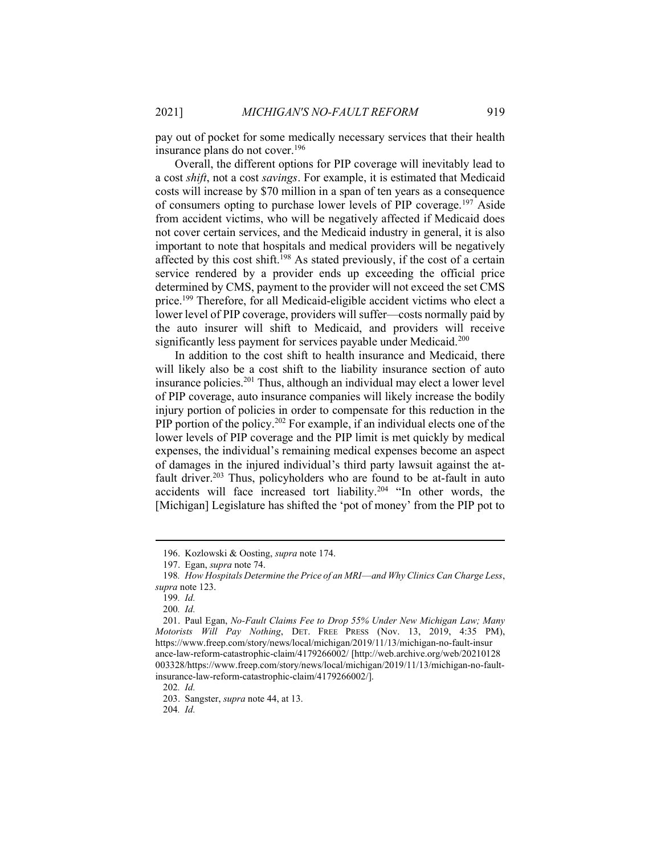pay out of pocket for some medically necessary services that their health insurance plans do not cover.<sup>196</sup>

Overall, the different options for PIP coverage will inevitably lead to a cost shift, not a cost savings. For example, it is estimated that Medicaid costs will increase by \$70 million in a span of ten years as a consequence of consumers opting to purchase lower levels of PIP coverage.<sup>197</sup> Aside from accident victims, who will be negatively affected if Medicaid does not cover certain services, and the Medicaid industry in general, it is also important to note that hospitals and medical providers will be negatively affected by this cost shift.<sup>198</sup> As stated previously, if the cost of a certain service rendered by a provider ends up exceeding the official price determined by CMS, payment to the provider will not exceed the set CMS price.<sup>199</sup> Therefore, for all Medicaid-eligible accident victims who elect a lower level of PIP coverage, providers will suffer—costs normally paid by the auto insurer will shift to Medicaid, and providers will receive significantly less payment for services payable under Medicaid.<sup>200</sup>

In addition to the cost shift to health insurance and Medicaid, there will likely also be a cost shift to the liability insurance section of auto insurance policies.<sup>201</sup> Thus, although an individual may elect a lower level of PIP coverage, auto insurance companies will likely increase the bodily injury portion of policies in order to compensate for this reduction in the PIP portion of the policy.<sup>202</sup> For example, if an individual elects one of the lower levels of PIP coverage and the PIP limit is met quickly by medical expenses, the individual's remaining medical expenses become an aspect of damages in the injured individual's third party lawsuit against the atfault driver.<sup>203</sup> Thus, policyholders who are found to be at-fault in auto accidents will face increased tort liability.<sup>204</sup> "In other words, the [Michigan] Legislature has shifted the 'pot of money' from the PIP pot to

202. Id.

204. Id.

 <sup>196.</sup> Kozlowski & Oosting, supra note 174.

 <sup>197.</sup> Egan, supra note 74.

<sup>198</sup>. How Hospitals Determine the Price of an MRI—and Why Clinics Can Charge Less, supra note 123.

<sup>199</sup>. Id.

<sup>200</sup>. Id.

 <sup>201.</sup> Paul Egan, No-Fault Claims Fee to Drop 55% Under New Michigan Law; Many Motorists Will Pay Nothing, DET. FREE PRESS (Nov. 13, 2019, 4:35 PM), https://www.freep.com/story/news/local/michigan/2019/11/13/michigan-no-fault-insur ance-law-reform-catastrophic-claim/4179266002/ [http://web.archive.org/web/20210128 003328/https://www.freep.com/story/news/local/michigan/2019/11/13/michigan-no-faultinsurance-law-reform-catastrophic-claim/4179266002/].

 <sup>203.</sup> Sangster, supra note 44, at 13.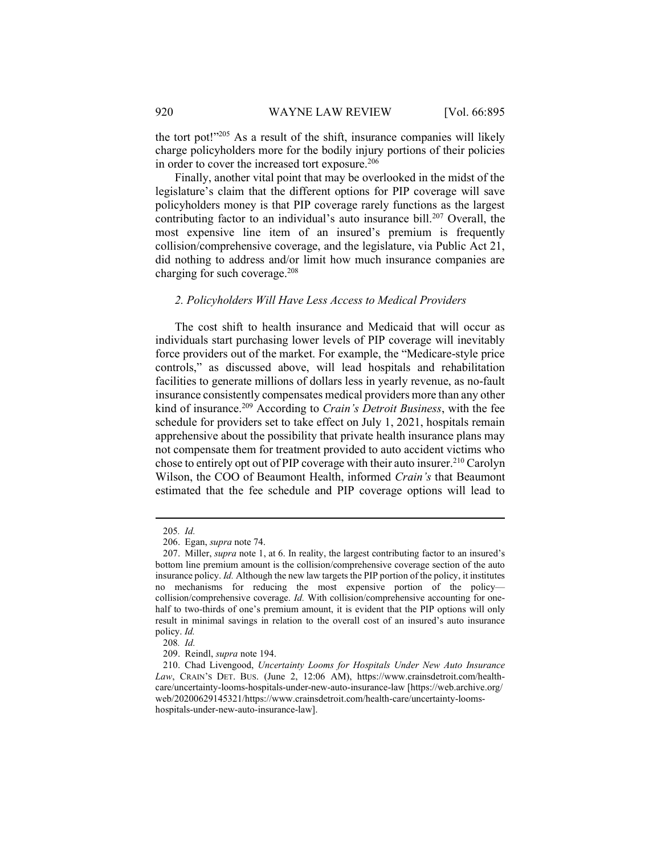the tort pot!"<sup>205</sup> As a result of the shift, insurance companies will likely charge policyholders more for the bodily injury portions of their policies in order to cover the increased tort exposure.<sup>206</sup>

Finally, another vital point that may be overlooked in the midst of the legislature's claim that the different options for PIP coverage will save policyholders money is that PIP coverage rarely functions as the largest contributing factor to an individual's auto insurance bill.<sup>207</sup> Overall, the most expensive line item of an insured's premium is frequently collision/comprehensive coverage, and the legislature, via Public Act 21, did nothing to address and/or limit how much insurance companies are charging for such coverage.<sup>208</sup>

## 2. Policyholders Will Have Less Access to Medical Providers

The cost shift to health insurance and Medicaid that will occur as individuals start purchasing lower levels of PIP coverage will inevitably force providers out of the market. For example, the "Medicare-style price controls," as discussed above, will lead hospitals and rehabilitation facilities to generate millions of dollars less in yearly revenue, as no-fault insurance consistently compensates medical providers more than any other kind of insurance.<sup>209</sup> According to *Crain's Detroit Business*, with the fee schedule for providers set to take effect on July 1, 2021, hospitals remain apprehensive about the possibility that private health insurance plans may not compensate them for treatment provided to auto accident victims who chose to entirely opt out of PIP coverage with their auto insurer.<sup>210</sup> Carolyn Wilson, the COO of Beaumont Health, informed Crain's that Beaumont estimated that the fee schedule and PIP coverage options will lead to

<sup>205</sup>. Id.

 <sup>206.</sup> Egan, supra note 74.

<sup>207.</sup> Miller, *supra* note 1, at 6. In reality, the largest contributing factor to an insured's bottom line premium amount is the collision/comprehensive coverage section of the auto insurance policy. Id. Although the new law targets the PIP portion of the policy, it institutes no mechanisms for reducing the most expensive portion of the policy collision/comprehensive coverage. Id. With collision/comprehensive accounting for onehalf to two-thirds of one's premium amount, it is evident that the PIP options will only result in minimal savings in relation to the overall cost of an insured's auto insurance policy. Id.

<sup>208</sup>. Id.

 <sup>209.</sup> Reindl, supra note 194.

 <sup>210.</sup> Chad Livengood, Uncertainty Looms for Hospitals Under New Auto Insurance Law, CRAIN'S DET. BUS. (June 2, 12:06 AM), https://www.crainsdetroit.com/healthcare/uncertainty-looms-hospitals-under-new-auto-insurance-law [https://web.archive.org/ web/20200629145321/https://www.crainsdetroit.com/health-care/uncertainty-loomshospitals-under-new-auto-insurance-law].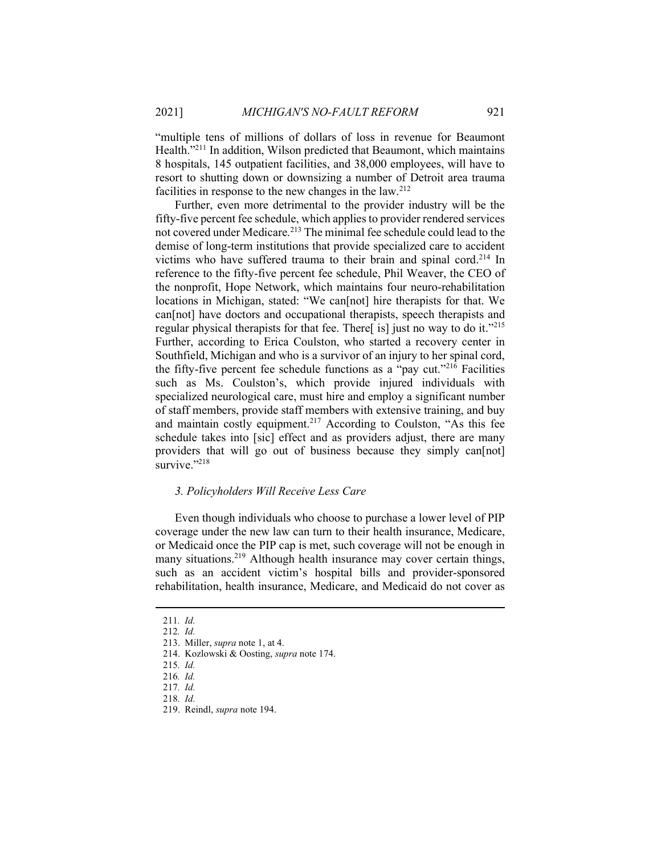"multiple tens of millions of dollars of loss in revenue for Beaumont Health.<sup>"211</sup> In addition, Wilson predicted that Beaumont, which maintains 8 hospitals, 145 outpatient facilities, and 38,000 employees, will have to resort to shutting down or downsizing a number of Detroit area trauma facilities in response to the new changes in the law.<sup>212</sup>

Further, even more detrimental to the provider industry will be the fifty-five percent fee schedule, which applies to provider rendered services not covered under Medicare.<sup>213</sup> The minimal fee schedule could lead to the demise of long-term institutions that provide specialized care to accident victims who have suffered trauma to their brain and spinal cord.<sup>214</sup> In reference to the fifty-five percent fee schedule, Phil Weaver, the CEO of the nonprofit, Hope Network, which maintains four neuro-rehabilitation locations in Michigan, stated: "We can[not] hire therapists for that. We can[not] have doctors and occupational therapists, speech therapists and regular physical therapists for that fee. There[ is] just no way to do it."<sup>215</sup> Further, according to Erica Coulston, who started a recovery center in Southfield, Michigan and who is a survivor of an injury to her spinal cord, the fifty-five percent fee schedule functions as a "pay cut."<sup>216</sup> Facilities such as Ms. Coulston's, which provide injured individuals with specialized neurological care, must hire and employ a significant number of staff members, provide staff members with extensive training, and buy and maintain costly equipment.<sup>217</sup> According to Coulston, "As this fee schedule takes into [sic] effect and as providers adjust, there are many providers that will go out of business because they simply can [not] survive."<sup>218</sup>

# 3. Policyholders Will Receive Less Care

Even though individuals who choose to purchase a lower level of PIP coverage under the new law can turn to their health insurance, Medicare, or Medicaid once the PIP cap is met, such coverage will not be enough in many situations.<sup>219</sup> Although health insurance may cover certain things, such as an accident victim's hospital bills and provider-sponsored rehabilitation, health insurance, Medicare, and Medicaid do not cover as

<sup>211</sup>. Id.

<sup>212</sup>. Id.

 <sup>213.</sup> Miller, supra note 1, at 4.

 <sup>214.</sup> Kozlowski & Oosting, supra note 174.

<sup>215</sup>. Id.

<sup>216</sup>. Id.

<sup>217</sup>. Id.

<sup>218</sup>. Id.

 <sup>219.</sup> Reindl, supra note 194.